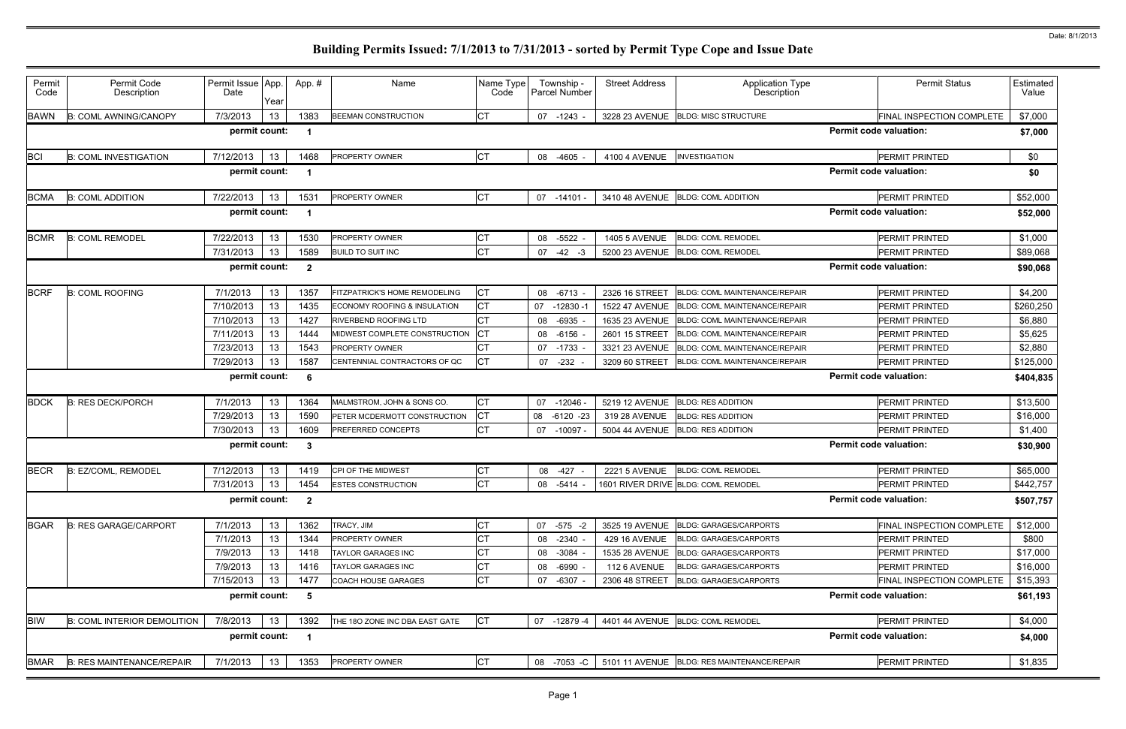| Permit<br>Code | Permit Code<br>Description         | Permit Issue App.<br>Date | Year | App.#        | Name                                       | Name Type<br>Code | Township -<br>Parcel Number |              | <b>Street Address</b> | <b>Application Type</b><br>Description         |                               | <b>Permit Status</b>      | Estimated<br>Value |
|----------------|------------------------------------|---------------------------|------|--------------|--------------------------------------------|-------------------|-----------------------------|--------------|-----------------------|------------------------------------------------|-------------------------------|---------------------------|--------------------|
| <b>BAWN</b>    | <b>B: COML AWNING/CANOPY</b>       | 7/3/2013                  | 13   | 1383         | <b>BEEMAN CONSTRUCTION</b>                 | <b>CT</b>         | 07<br>-1243                 |              |                       | 3228 23 AVENUE BLDG: MISC STRUCTURE            |                               | FINAL INSPECTION COMPLETE | \$7,000            |
|                |                                    | permit count:             |      | - 1          |                                            |                   |                             |              |                       |                                                | <b>Permit code valuation:</b> |                           | \$7,000            |
| <b>BCI</b>     | <b>B: COML INVESTIGATION</b>       | 7/12/2013                 | 13   | 1468         | PROPERTY OWNER                             | СT                | -4605<br>08                 |              | 4100 4 AVENUE         | <b>INVESTIGATION</b>                           |                               | PERMIT PRINTED            | \$0                |
|                |                                    | permit count:             |      |              |                                            |                   |                             |              |                       |                                                | <b>Permit code valuation:</b> |                           | \$0                |
| <b>BCMA</b>    | <b>B: COML ADDITION</b>            | 7/22/2013                 | 13   | 1531         | <b>PROPERTY OWNER</b>                      | Iст               | 07 -14101 -                 |              | 3410 48 AVENUE        | <b>BLDG: COML ADDITION</b>                     |                               | <b>PERMIT PRINTED</b>     | \$52,000           |
|                |                                    | permit count:             |      |              |                                            |                   |                             |              |                       |                                                | <b>Permit code valuation:</b> |                           | \$52,000           |
| <b>BCMR</b>    | <b>B: COML REMODEL</b>             | 7/22/2013                 | 13   | 1530         | <b>PROPERTY OWNER</b>                      | СT                | $-5522$<br>08               |              | <b>1405 5 AVENUE</b>  | <b>BLDG: COML REMODEL</b>                      |                               | <b>PERMIT PRINTED</b>     | \$1,000            |
|                |                                    | 7/31/2013                 | 13   | 1589         | <b>BUILD TO SUIT INC</b>                   | <b>CT</b>         | 07<br>$-42$                 | -3           | 5200 23 AVENUE        | <b>BLDG: COML REMODEL</b>                      |                               | <b>PERMIT PRINTED</b>     | \$89,068           |
|                |                                    | permit count:             |      | $\mathbf{2}$ |                                            |                   |                             |              |                       |                                                | <b>Permit code valuation:</b> |                           | \$90,068           |
| <b>BCRF</b>    | <b>B: COML ROOFING</b>             | 7/1/2013                  | 13   | 1357         | FITZPATRICK'S HOME REMODELING              | СT                | $-6713$<br>08               |              | 2326 16 STREET        | <b>BLDG: COML MAINTENANCE/REPAIR</b>           |                               | <b>PERMIT PRINTED</b>     | \$4,200            |
|                |                                    | 7/10/2013                 | 13   | 1435         | <b>ECONOMY ROOFING &amp; INSULATION</b>    | СT                | 07                          | $-12830 - 1$ | <b>1522 47 AVENUE</b> | <b>BLDG: COML MAINTENANCE/REPAIR</b>           |                               | <b>PERMIT PRINTED</b>     | \$260,250          |
|                |                                    | 7/10/2013                 | 13   | 1427         | <b>RIVERBEND ROOFING LTD</b>               | СT                | 08                          | $-6935$      | 1635 23 AVENUE        | <b>BLDG: COML MAINTENANCE/REPAIR</b>           |                               | PERMIT PRINTED            | \$6,880            |
|                |                                    | 7/11/2013                 | 13   | 1444         | MIDWEST COMPLETE CONSTRUCTION              | Iст               | $-6156$<br>08               |              | 2601 15 STREET        | <b>BLDG: COML MAINTENANCE/REPAIR</b>           |                               | <b>PERMIT PRINTED</b>     | \$5,625            |
|                |                                    | 7/23/2013                 | 13   | 1543         | <b>PROPERTY OWNER</b>                      |                   | $-1733$<br>07               |              | 3321 23 AVENUE        | <b>BLDG: COML MAINTENANCE/REPAIR</b>           |                               | PERMIT PRINTED            | \$2,880            |
|                |                                    | 7/29/2013                 | 13   | 1587         | CENTENNIAL CONTRACTORS OF QC               | <b>CT</b>         | $-232$<br>07                |              | 3209 60 STREET        | BLDG: COML MAINTENANCE/REPAIR                  |                               | <b>PERMIT PRINTED</b>     | \$125,000          |
|                |                                    | permit count:             |      | -6           |                                            |                   |                             |              |                       |                                                | <b>Permit code valuation:</b> |                           | \$404,835          |
| <b>BDCK</b>    | <b>B: RES DECK/PORCH</b>           | 7/1/2013                  | 13   | 1364         | MALMSTROM, JOHN & SONS CO.                 | СT                | 07                          | $-12046 -$   | 5219 12 AVENUE        | <b>BLDG: RES ADDITION</b>                      |                               | <b>PERMIT PRINTED</b>     | \$13,500           |
|                |                                    | 7/29/2013                 | 13   | 1590         | PETER MCDERMOTT CONSTRUCTION               | <b>CT</b>         | 08                          | $-6120 -23$  | 319 28 AVENUE         | <b>BLDG: RES ADDITION</b>                      |                               | PERMIT PRINTED            | \$16,000           |
|                |                                    | 7/30/2013                 | 13   | 1609         | PREFERRED CONCEPTS                         | <b>CT</b>         | 07                          | $-10097 -$   | <b>5004 44 AVENUE</b> | <b>BLDG: RES ADDITION</b>                      |                               | PERMIT PRINTED            | \$1,400            |
|                |                                    | permit count:             |      | -3           |                                            |                   |                             |              |                       |                                                | <b>Permit code valuation:</b> |                           | \$30,900           |
| <b>BECR</b>    | B: EZ/COML, REMODEL                | 7/12/2013                 | 13   | 1419         | CPI OF THE MIDWEST                         | СT                | 08                          | $-427 -$     | <b>2221 5 AVENUE</b>  | <b>BLDG: COML REMODEL</b>                      |                               | PERMIT PRINTED            | \$65,000           |
|                |                                    |                           |      |              | $7/31/2013$   13   1454 ESTES CONSTRUCTION | <b>CT</b>         |                             |              |                       | 08 -5414 - 1601 RIVER DRIVE BLDG: COML REMODEL |                               | PERMIT PRINTED            | \$442,757          |
|                |                                    | permit count: 2           |      |              |                                            |                   |                             |              |                       |                                                | <b>Permit code valuation:</b> |                           | \$507,757          |
| <b>BGAR</b>    | <b>B: RES GARAGE/CARPORT</b>       | 7/1/2013                  | 13   | 1362         | TRACY, JIM                                 | CТ                | 07 -575 -2                  |              |                       | 3525 19 AVENUE BLDG: GARAGES/CARPORTS          |                               | FINAL INSPECTION COMPLETE | \$12,000           |
|                |                                    | 7/1/2013                  | 13   | 1344         | PROPERTY OWNER                             | СT                | 08 -2340                    |              | <b>429 16 AVENUE</b>  | <b>BLDG: GARAGES/CARPORTS</b>                  |                               | <b>PERMIT PRINTED</b>     | \$800              |
|                |                                    | 7/9/2013                  | 13   | 1418         | TAYLOR GARAGES INC                         | СΤ                | $-3084$<br>08               |              | 1535 28 AVENUE        | <b>BLDG: GARAGES/CARPORTS</b>                  |                               | PERMIT PRINTED            | \$17,000           |
|                |                                    | 7/9/2013                  | 13   | 1416         | TAYLOR GARAGES INC                         | СΤ                | -6990<br>08                 |              | 112 6 AVENUE          | <b>BLDG: GARAGES/CARPORTS</b>                  |                               | PERMIT PRINTED            | \$16,000           |
|                |                                    | 7/15/2013                 | 13   | 1477         | COACH HOUSE GARAGES                        | СT                | -6307<br>07                 |              | 2306 48 STREET        | <b>BLDG: GARAGES/CARPORTS</b>                  |                               | FINAL INSPECTION COMPLETE | \$15,393           |
|                |                                    | permit count:             |      | - 5          |                                            |                   |                             |              |                       |                                                | <b>Permit code valuation:</b> |                           | \$61,193           |
| <b>BIW</b>     | <b>B: COML INTERIOR DEMOLITION</b> | 7/8/2013                  | 13   | 1392         | THE 180 ZONE INC DBA EAST GATE             | <b>CT</b>         | $07 - 12879 - 4$            |              |                       | 4401 44 AVENUE BLDG: COML REMODEL              |                               | PERMIT PRINTED            | \$4,000            |
|                |                                    | permit count:             |      | - 1          |                                            |                   |                             |              |                       |                                                | <b>Permit code valuation:</b> |                           | \$4,000            |
| <b>BMAR</b>    | <b>B: RES MAINTENANCE/REPAIR</b>   | 7/1/2013                  | 13   | 1353         | PROPERTY OWNER                             | CТ                | 08 -7053 -C                 |              |                       | 5101 11 AVENUE BLDG: RES MAINTENANCE/REPAIR    |                               | PERMIT PRINTED            | \$1,835            |
|                |                                    |                           |      |              |                                            |                   |                             |              |                       |                                                |                               |                           |                    |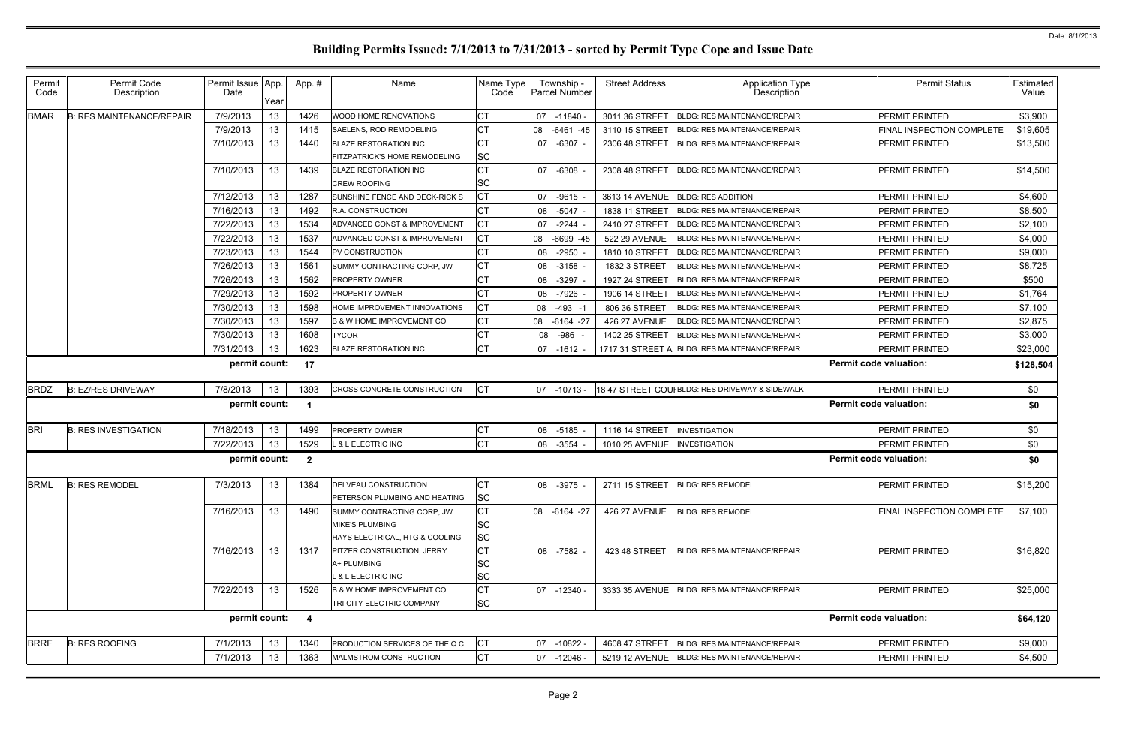| 7/9/2013<br>13<br>1426<br>\$3,900<br><b>B: RES MAINTENANCE/REPAIR</b><br>PERMIT PRINTED<br>WOOD HOME RENOVATIONS<br>07<br>-11840 -<br>3011 36 STREET<br><b>BLDG: RES MAINTENANCE/REPAIR</b><br>1415<br>7/9/2013<br>13<br>$-6461 - 45$<br>\$19,605<br>SAELENS, ROD REMODELING<br>3110 15 STREET<br>FINAL INSPECTION COMPLETE<br>08<br><b>BLDG: RES MAINTENANCE/REPAIR</b><br>7/10/2013<br>1440<br>13<br>$-6307 -$<br>\$13,500<br><b>BLAZE RESTORATION INC</b><br>07<br>2306 48 STREET<br><b>BLDG: RES MAINTENANCE/REPAIR</b><br>PERMIT PRINTED<br>SC<br>FITZPATRICK'S HOME REMODELING<br>13<br>7/10/2013<br>1439<br>\$14,500<br><b>BLAZE RESTORATION INC</b><br>07<br>$-6308$<br><b>BLDG: RES MAINTENANCE/REPAIR</b><br><b>PERMIT PRINTED</b><br>2308 48 STREET<br><b>SC</b><br><b>CREW ROOFING</b><br>СT<br>\$4,600<br>7/12/2013<br>13<br>1287<br>SUNSHINE FENCE AND DECK-RICK S<br>$-9615$<br><b>BLDG: RES ADDITION</b><br>PERMIT PRINTED<br>07<br>3613 14 AVENUE<br>7/16/2013<br>1492<br>\$8,500<br>13<br>R.A. CONSTRUCTION<br><b>BLDG: RES MAINTENANCE/REPAIR</b><br>$-5047$<br>1838 11 STREET<br>PERMIT PRINTED<br>08<br>7/22/2013<br>13<br>1534<br>\$2,100<br>ADVANCED CONST & IMPROVEMENT<br>$-2244$<br>2410 27 STREET<br><b>BLDG: RES MAINTENANCE/REPAIR</b><br>PERMIT PRINTED<br>07<br>СT<br>7/22/2013<br>1537<br>\$4,000<br>13<br>ADVANCED CONST & IMPROVEMENT<br>$-6699 - 45$<br>522 29 AVENUE<br><b>BLDG: RES MAINTENANCE/REPAIR</b><br><b>PERMIT PRINTED</b><br>08<br>7/23/2013<br>13<br>1544<br>\$9,000<br>PV CONSTRUCTION<br>$-2950$<br><b>BLDG: RES MAINTENANCE/REPAIR</b><br>PERMIT PRINTED<br>08<br>1810 10 STREET<br>СT<br>7/26/2013<br>1561<br>\$8,725<br>13<br>SUMMY CONTRACTING CORP, JW<br>$-3158$<br><b>BLDG: RES MAINTENANCE/REPAIR</b><br><b>PERMIT PRINTED</b><br>08<br>1832 3 STREET<br>7/26/2013<br>13<br>1562<br>\$500<br><b>PROPERTY OWNER</b><br>$-3297$<br><b>BLDG: RES MAINTENANCE/REPAIR</b><br>PERMIT PRINTED<br>08<br>1927 24 STREET<br>7/29/2013<br>1592<br>13<br><b>PROPERTY OWNER</b><br>\$1,764<br>$-7926$<br><b>BLDG: RES MAINTENANCE/REPAIR</b><br><b>PERMIT PRINTED</b><br>08<br>1906 14 STREET<br>1598<br>CТ<br>7/30/2013<br>13<br>HOME IMPROVEMENT INNOVATIONS<br>$-493 - 1$<br>PERMIT PRINTED<br>\$7,100<br>08<br>806 36 STREET<br><b>BLDG: RES MAINTENANCE/REPAIR</b><br>СT<br>7/30/2013<br>1597<br>\$2,875<br>13<br>08 -6164 -27<br><b>PERMIT PRINTED</b><br><b>B &amp; W HOME IMPROVEMENT CO</b><br><b>426 27 AVENUE</b><br><b>BLDG: RES MAINTENANCE/REPAIR</b><br>1608<br>7/30/2013<br>13<br>\$3,000<br><b>TYCOR</b><br>$-986$<br>PERMIT PRINTED<br>08<br>1402 25 STREET<br><b>BLDG: RES MAINTENANCE/REPAIR</b><br>СT<br>7/31/2013<br>1623<br>13<br>\$23,000<br><b>BLAZE RESTORATION INC</b><br>PERMIT PRINTED<br>07<br>$-1612$<br>1717 31 STREET A BLDG: RES MAINTENANCE/REPAIR<br>permit count:<br>17<br><b>Permit code valuation:</b><br>\$128,504<br>СT<br><b>B: EZ/RES DRIVEWAY</b><br>7/8/2013<br>13<br>1393<br>18 47 STREET COUIBLDG: RES DRIVEWAY & SIDEWALK<br>PERMIT PRINTED<br>\$0<br>CROSS CONCRETE CONSTRUCTION<br>07 -10713 -<br>permit count:<br><b>Permit code valuation:</b><br>\$0<br>- 1<br>7/18/2013<br>13<br><b>B: RES INVESTIGATION</b><br>1499<br>СT<br>$-5185$<br>1116 14 STREET<br>PERMIT PRINTED<br>\$0<br><b>PROPERTY OWNER</b><br>08<br><b>INVESTIGATION</b><br>1529<br>СT<br>7/22/2013<br>13<br>\$0<br>$-3554$<br><b>1010 25 AVENUE</b><br>PERMIT PRINTED<br><b>&amp; L ELECTRIC INC</b><br>08<br><b>INVESTIGATION</b><br>permit count:<br><b>Permit code valuation:</b><br>\$0<br>$\mathbf{2}$<br>13<br>\$15,200<br><b>B: RES REMODEL</b><br>7/3/2013<br>1384<br>IСT<br>2711 15 STREET BLDG: RES REMODEL<br>PERMIT PRINTED<br>DELVEAU CONSTRUCTION<br>08 -3975<br><b>SC</b><br>PETERSON PLUMBING AND HEATING<br>\$7,100<br>7/16/2013<br>13<br>CТ<br>1490<br><b>426 27 AVENUE</b><br>FINAL INSPECTION COMPLETE<br>08 -6164 -27<br><b>BLDG: RES REMODEL</b><br>SUMMY CONTRACTING CORP, JW<br><b>MIKE'S PLUMBING</b><br>SC<br>SC<br>HAYS ELECTRICAL, HTG & COOLING<br>13<br>7/16/2013<br>\$16,820<br>1317<br>08 -7582 -<br>PERMIT PRINTED<br><b>PITZER CONSTRUCTION, JERRY</b><br>423 48 STREET<br><b>BLDG: RES MAINTENANCE/REPAIR</b><br>SC<br>A+ PLUMBING<br>SC<br>. & L ELECTRIC INC<br>7/22/2013<br>13<br>1526<br>\$25,000<br><b>B &amp; W HOME IMPROVEMENT CO</b><br>07 -12340 -<br>3333 35 AVENUE BLDG: RES MAINTENANCE/REPAIR<br>PERMIT PRINTED<br><b>SC</b><br>TRI-CITY ELECTRIC COMPANY<br>permit count:<br><b>Permit code valuation:</b><br>$\overline{\mathbf{4}}$<br>\$64,120<br>7/1/2013<br>\$9,000<br><b>B: RES ROOFING</b><br>1340<br>PERMIT PRINTED<br>13<br>PRODUCTION SERVICES OF THE Q.C<br>CТ<br>07 -10822 -<br>4608 47 STREET<br><b>BLDG: RES MAINTENANCE/REPAIR</b><br>7/1/2013<br>13<br>1363<br>СT<br>\$4,500<br>PERMIT PRINTED<br>MALMSTROM CONSTRUCTION<br>07 -12046 -<br>5219 12 AVENUE BLDG: RES MAINTENANCE/REPAIR | Permit<br>Code | Permit Code<br>Description | Permit Issue App.<br>Date | Year | App.# | Name | Name Type<br>Code | Township -<br>Parcel Number | <b>Street Address</b> | Application Type<br>Description | <b>Permit Status</b> | <b>Estimated</b><br>Value |
|-----------------------------------------------------------------------------------------------------------------------------------------------------------------------------------------------------------------------------------------------------------------------------------------------------------------------------------------------------------------------------------------------------------------------------------------------------------------------------------------------------------------------------------------------------------------------------------------------------------------------------------------------------------------------------------------------------------------------------------------------------------------------------------------------------------------------------------------------------------------------------------------------------------------------------------------------------------------------------------------------------------------------------------------------------------------------------------------------------------------------------------------------------------------------------------------------------------------------------------------------------------------------------------------------------------------------------------------------------------------------------------------------------------------------------------------------------------------------------------------------------------------------------------------------------------------------------------------------------------------------------------------------------------------------------------------------------------------------------------------------------------------------------------------------------------------------------------------------------------------------------------------------------------------------------------------------------------------------------------------------------------------------------------------------------------------------------------------------------------------------------------------------------------------------------------------------------------------------------------------------------------------------------------------------------------------------------------------------------------------------------------------------------------------------------------------------------------------------------------------------------------------------------------------------------------------------------------------------------------------------------------------------------------------------------------------------------------------------------------------------------------------------------------------------------------------------------------------------------------------------------------------------------------------------------------------------------------------------------------------------------------------------------------------------------------------------------------------------------------------------------------------------------------------------------------------------------------------------------------------------------------------------------------------------------------------------------------------------------------------------------------------------------------------------------------------------------------------------------------------------------------------------------------------------------------------------------------------------------------------------------------------------------------------------------------------------------------------------------------------------------------------------------------------------------------------------------------------------------------------------------------------------------------------------------------------------------------------------------------------------------------------------------------------------------------------------------------------------------------------------------------------------------------------------------------------------------------------------------------------------------------------------------------------------------------------------------------------------------------------------------------------------------------------------------------------------------------------------------------------------------------------------------------------------------------------------------------------------------------------------------------------------------------------------------------------------------------------------------------------------------------------------------------------------------------------------------------------------------------------------------------------------------------------------------|----------------|----------------------------|---------------------------|------|-------|------|-------------------|-----------------------------|-----------------------|---------------------------------|----------------------|---------------------------|
|                                                                                                                                                                                                                                                                                                                                                                                                                                                                                                                                                                                                                                                                                                                                                                                                                                                                                                                                                                                                                                                                                                                                                                                                                                                                                                                                                                                                                                                                                                                                                                                                                                                                                                                                                                                                                                                                                                                                                                                                                                                                                                                                                                                                                                                                                                                                                                                                                                                                                                                                                                                                                                                                                                                                                                                                                                                                                                                                                                                                                                                                                                                                                                                                                                                                                                                                                                                                                                                                                                                                                                                                                                                                                                                                                                                                                                                                                                                                                                                                                                                                                                                                                                                                                                                                                                                                                                                                                                                                                                                                                                                                                                                                                                                                                                                                                                                                                                                             | <b>BMAR</b>    |                            |                           |      |       |      |                   |                             |                       |                                 |                      |                           |
|                                                                                                                                                                                                                                                                                                                                                                                                                                                                                                                                                                                                                                                                                                                                                                                                                                                                                                                                                                                                                                                                                                                                                                                                                                                                                                                                                                                                                                                                                                                                                                                                                                                                                                                                                                                                                                                                                                                                                                                                                                                                                                                                                                                                                                                                                                                                                                                                                                                                                                                                                                                                                                                                                                                                                                                                                                                                                                                                                                                                                                                                                                                                                                                                                                                                                                                                                                                                                                                                                                                                                                                                                                                                                                                                                                                                                                                                                                                                                                                                                                                                                                                                                                                                                                                                                                                                                                                                                                                                                                                                                                                                                                                                                                                                                                                                                                                                                                                             |                |                            |                           |      |       |      |                   |                             |                       |                                 |                      |                           |
|                                                                                                                                                                                                                                                                                                                                                                                                                                                                                                                                                                                                                                                                                                                                                                                                                                                                                                                                                                                                                                                                                                                                                                                                                                                                                                                                                                                                                                                                                                                                                                                                                                                                                                                                                                                                                                                                                                                                                                                                                                                                                                                                                                                                                                                                                                                                                                                                                                                                                                                                                                                                                                                                                                                                                                                                                                                                                                                                                                                                                                                                                                                                                                                                                                                                                                                                                                                                                                                                                                                                                                                                                                                                                                                                                                                                                                                                                                                                                                                                                                                                                                                                                                                                                                                                                                                                                                                                                                                                                                                                                                                                                                                                                                                                                                                                                                                                                                                             |                |                            |                           |      |       |      |                   |                             |                       |                                 |                      |                           |
|                                                                                                                                                                                                                                                                                                                                                                                                                                                                                                                                                                                                                                                                                                                                                                                                                                                                                                                                                                                                                                                                                                                                                                                                                                                                                                                                                                                                                                                                                                                                                                                                                                                                                                                                                                                                                                                                                                                                                                                                                                                                                                                                                                                                                                                                                                                                                                                                                                                                                                                                                                                                                                                                                                                                                                                                                                                                                                                                                                                                                                                                                                                                                                                                                                                                                                                                                                                                                                                                                                                                                                                                                                                                                                                                                                                                                                                                                                                                                                                                                                                                                                                                                                                                                                                                                                                                                                                                                                                                                                                                                                                                                                                                                                                                                                                                                                                                                                                             |                |                            |                           |      |       |      |                   |                             |                       |                                 |                      |                           |
|                                                                                                                                                                                                                                                                                                                                                                                                                                                                                                                                                                                                                                                                                                                                                                                                                                                                                                                                                                                                                                                                                                                                                                                                                                                                                                                                                                                                                                                                                                                                                                                                                                                                                                                                                                                                                                                                                                                                                                                                                                                                                                                                                                                                                                                                                                                                                                                                                                                                                                                                                                                                                                                                                                                                                                                                                                                                                                                                                                                                                                                                                                                                                                                                                                                                                                                                                                                                                                                                                                                                                                                                                                                                                                                                                                                                                                                                                                                                                                                                                                                                                                                                                                                                                                                                                                                                                                                                                                                                                                                                                                                                                                                                                                                                                                                                                                                                                                                             |                |                            |                           |      |       |      |                   |                             |                       |                                 |                      |                           |
|                                                                                                                                                                                                                                                                                                                                                                                                                                                                                                                                                                                                                                                                                                                                                                                                                                                                                                                                                                                                                                                                                                                                                                                                                                                                                                                                                                                                                                                                                                                                                                                                                                                                                                                                                                                                                                                                                                                                                                                                                                                                                                                                                                                                                                                                                                                                                                                                                                                                                                                                                                                                                                                                                                                                                                                                                                                                                                                                                                                                                                                                                                                                                                                                                                                                                                                                                                                                                                                                                                                                                                                                                                                                                                                                                                                                                                                                                                                                                                                                                                                                                                                                                                                                                                                                                                                                                                                                                                                                                                                                                                                                                                                                                                                                                                                                                                                                                                                             |                |                            |                           |      |       |      |                   |                             |                       |                                 |                      |                           |
|                                                                                                                                                                                                                                                                                                                                                                                                                                                                                                                                                                                                                                                                                                                                                                                                                                                                                                                                                                                                                                                                                                                                                                                                                                                                                                                                                                                                                                                                                                                                                                                                                                                                                                                                                                                                                                                                                                                                                                                                                                                                                                                                                                                                                                                                                                                                                                                                                                                                                                                                                                                                                                                                                                                                                                                                                                                                                                                                                                                                                                                                                                                                                                                                                                                                                                                                                                                                                                                                                                                                                                                                                                                                                                                                                                                                                                                                                                                                                                                                                                                                                                                                                                                                                                                                                                                                                                                                                                                                                                                                                                                                                                                                                                                                                                                                                                                                                                                             |                |                            |                           |      |       |      |                   |                             |                       |                                 |                      |                           |
|                                                                                                                                                                                                                                                                                                                                                                                                                                                                                                                                                                                                                                                                                                                                                                                                                                                                                                                                                                                                                                                                                                                                                                                                                                                                                                                                                                                                                                                                                                                                                                                                                                                                                                                                                                                                                                                                                                                                                                                                                                                                                                                                                                                                                                                                                                                                                                                                                                                                                                                                                                                                                                                                                                                                                                                                                                                                                                                                                                                                                                                                                                                                                                                                                                                                                                                                                                                                                                                                                                                                                                                                                                                                                                                                                                                                                                                                                                                                                                                                                                                                                                                                                                                                                                                                                                                                                                                                                                                                                                                                                                                                                                                                                                                                                                                                                                                                                                                             |                |                            |                           |      |       |      |                   |                             |                       |                                 |                      |                           |
|                                                                                                                                                                                                                                                                                                                                                                                                                                                                                                                                                                                                                                                                                                                                                                                                                                                                                                                                                                                                                                                                                                                                                                                                                                                                                                                                                                                                                                                                                                                                                                                                                                                                                                                                                                                                                                                                                                                                                                                                                                                                                                                                                                                                                                                                                                                                                                                                                                                                                                                                                                                                                                                                                                                                                                                                                                                                                                                                                                                                                                                                                                                                                                                                                                                                                                                                                                                                                                                                                                                                                                                                                                                                                                                                                                                                                                                                                                                                                                                                                                                                                                                                                                                                                                                                                                                                                                                                                                                                                                                                                                                                                                                                                                                                                                                                                                                                                                                             |                |                            |                           |      |       |      |                   |                             |                       |                                 |                      |                           |
|                                                                                                                                                                                                                                                                                                                                                                                                                                                                                                                                                                                                                                                                                                                                                                                                                                                                                                                                                                                                                                                                                                                                                                                                                                                                                                                                                                                                                                                                                                                                                                                                                                                                                                                                                                                                                                                                                                                                                                                                                                                                                                                                                                                                                                                                                                                                                                                                                                                                                                                                                                                                                                                                                                                                                                                                                                                                                                                                                                                                                                                                                                                                                                                                                                                                                                                                                                                                                                                                                                                                                                                                                                                                                                                                                                                                                                                                                                                                                                                                                                                                                                                                                                                                                                                                                                                                                                                                                                                                                                                                                                                                                                                                                                                                                                                                                                                                                                                             |                |                            |                           |      |       |      |                   |                             |                       |                                 |                      |                           |
|                                                                                                                                                                                                                                                                                                                                                                                                                                                                                                                                                                                                                                                                                                                                                                                                                                                                                                                                                                                                                                                                                                                                                                                                                                                                                                                                                                                                                                                                                                                                                                                                                                                                                                                                                                                                                                                                                                                                                                                                                                                                                                                                                                                                                                                                                                                                                                                                                                                                                                                                                                                                                                                                                                                                                                                                                                                                                                                                                                                                                                                                                                                                                                                                                                                                                                                                                                                                                                                                                                                                                                                                                                                                                                                                                                                                                                                                                                                                                                                                                                                                                                                                                                                                                                                                                                                                                                                                                                                                                                                                                                                                                                                                                                                                                                                                                                                                                                                             |                |                            |                           |      |       |      |                   |                             |                       |                                 |                      |                           |
|                                                                                                                                                                                                                                                                                                                                                                                                                                                                                                                                                                                                                                                                                                                                                                                                                                                                                                                                                                                                                                                                                                                                                                                                                                                                                                                                                                                                                                                                                                                                                                                                                                                                                                                                                                                                                                                                                                                                                                                                                                                                                                                                                                                                                                                                                                                                                                                                                                                                                                                                                                                                                                                                                                                                                                                                                                                                                                                                                                                                                                                                                                                                                                                                                                                                                                                                                                                                                                                                                                                                                                                                                                                                                                                                                                                                                                                                                                                                                                                                                                                                                                                                                                                                                                                                                                                                                                                                                                                                                                                                                                                                                                                                                                                                                                                                                                                                                                                             |                |                            |                           |      |       |      |                   |                             |                       |                                 |                      |                           |
|                                                                                                                                                                                                                                                                                                                                                                                                                                                                                                                                                                                                                                                                                                                                                                                                                                                                                                                                                                                                                                                                                                                                                                                                                                                                                                                                                                                                                                                                                                                                                                                                                                                                                                                                                                                                                                                                                                                                                                                                                                                                                                                                                                                                                                                                                                                                                                                                                                                                                                                                                                                                                                                                                                                                                                                                                                                                                                                                                                                                                                                                                                                                                                                                                                                                                                                                                                                                                                                                                                                                                                                                                                                                                                                                                                                                                                                                                                                                                                                                                                                                                                                                                                                                                                                                                                                                                                                                                                                                                                                                                                                                                                                                                                                                                                                                                                                                                                                             |                |                            |                           |      |       |      |                   |                             |                       |                                 |                      |                           |
|                                                                                                                                                                                                                                                                                                                                                                                                                                                                                                                                                                                                                                                                                                                                                                                                                                                                                                                                                                                                                                                                                                                                                                                                                                                                                                                                                                                                                                                                                                                                                                                                                                                                                                                                                                                                                                                                                                                                                                                                                                                                                                                                                                                                                                                                                                                                                                                                                                                                                                                                                                                                                                                                                                                                                                                                                                                                                                                                                                                                                                                                                                                                                                                                                                                                                                                                                                                                                                                                                                                                                                                                                                                                                                                                                                                                                                                                                                                                                                                                                                                                                                                                                                                                                                                                                                                                                                                                                                                                                                                                                                                                                                                                                                                                                                                                                                                                                                                             |                |                            |                           |      |       |      |                   |                             |                       |                                 |                      |                           |
|                                                                                                                                                                                                                                                                                                                                                                                                                                                                                                                                                                                                                                                                                                                                                                                                                                                                                                                                                                                                                                                                                                                                                                                                                                                                                                                                                                                                                                                                                                                                                                                                                                                                                                                                                                                                                                                                                                                                                                                                                                                                                                                                                                                                                                                                                                                                                                                                                                                                                                                                                                                                                                                                                                                                                                                                                                                                                                                                                                                                                                                                                                                                                                                                                                                                                                                                                                                                                                                                                                                                                                                                                                                                                                                                                                                                                                                                                                                                                                                                                                                                                                                                                                                                                                                                                                                                                                                                                                                                                                                                                                                                                                                                                                                                                                                                                                                                                                                             |                |                            |                           |      |       |      |                   |                             |                       |                                 |                      |                           |
|                                                                                                                                                                                                                                                                                                                                                                                                                                                                                                                                                                                                                                                                                                                                                                                                                                                                                                                                                                                                                                                                                                                                                                                                                                                                                                                                                                                                                                                                                                                                                                                                                                                                                                                                                                                                                                                                                                                                                                                                                                                                                                                                                                                                                                                                                                                                                                                                                                                                                                                                                                                                                                                                                                                                                                                                                                                                                                                                                                                                                                                                                                                                                                                                                                                                                                                                                                                                                                                                                                                                                                                                                                                                                                                                                                                                                                                                                                                                                                                                                                                                                                                                                                                                                                                                                                                                                                                                                                                                                                                                                                                                                                                                                                                                                                                                                                                                                                                             |                |                            |                           |      |       |      |                   |                             |                       |                                 |                      |                           |
|                                                                                                                                                                                                                                                                                                                                                                                                                                                                                                                                                                                                                                                                                                                                                                                                                                                                                                                                                                                                                                                                                                                                                                                                                                                                                                                                                                                                                                                                                                                                                                                                                                                                                                                                                                                                                                                                                                                                                                                                                                                                                                                                                                                                                                                                                                                                                                                                                                                                                                                                                                                                                                                                                                                                                                                                                                                                                                                                                                                                                                                                                                                                                                                                                                                                                                                                                                                                                                                                                                                                                                                                                                                                                                                                                                                                                                                                                                                                                                                                                                                                                                                                                                                                                                                                                                                                                                                                                                                                                                                                                                                                                                                                                                                                                                                                                                                                                                                             |                |                            |                           |      |       |      |                   |                             |                       |                                 |                      |                           |
|                                                                                                                                                                                                                                                                                                                                                                                                                                                                                                                                                                                                                                                                                                                                                                                                                                                                                                                                                                                                                                                                                                                                                                                                                                                                                                                                                                                                                                                                                                                                                                                                                                                                                                                                                                                                                                                                                                                                                                                                                                                                                                                                                                                                                                                                                                                                                                                                                                                                                                                                                                                                                                                                                                                                                                                                                                                                                                                                                                                                                                                                                                                                                                                                                                                                                                                                                                                                                                                                                                                                                                                                                                                                                                                                                                                                                                                                                                                                                                                                                                                                                                                                                                                                                                                                                                                                                                                                                                                                                                                                                                                                                                                                                                                                                                                                                                                                                                                             |                |                            |                           |      |       |      |                   |                             |                       |                                 |                      |                           |
|                                                                                                                                                                                                                                                                                                                                                                                                                                                                                                                                                                                                                                                                                                                                                                                                                                                                                                                                                                                                                                                                                                                                                                                                                                                                                                                                                                                                                                                                                                                                                                                                                                                                                                                                                                                                                                                                                                                                                                                                                                                                                                                                                                                                                                                                                                                                                                                                                                                                                                                                                                                                                                                                                                                                                                                                                                                                                                                                                                                                                                                                                                                                                                                                                                                                                                                                                                                                                                                                                                                                                                                                                                                                                                                                                                                                                                                                                                                                                                                                                                                                                                                                                                                                                                                                                                                                                                                                                                                                                                                                                                                                                                                                                                                                                                                                                                                                                                                             |                |                            |                           |      |       |      |                   |                             |                       |                                 |                      |                           |
|                                                                                                                                                                                                                                                                                                                                                                                                                                                                                                                                                                                                                                                                                                                                                                                                                                                                                                                                                                                                                                                                                                                                                                                                                                                                                                                                                                                                                                                                                                                                                                                                                                                                                                                                                                                                                                                                                                                                                                                                                                                                                                                                                                                                                                                                                                                                                                                                                                                                                                                                                                                                                                                                                                                                                                                                                                                                                                                                                                                                                                                                                                                                                                                                                                                                                                                                                                                                                                                                                                                                                                                                                                                                                                                                                                                                                                                                                                                                                                                                                                                                                                                                                                                                                                                                                                                                                                                                                                                                                                                                                                                                                                                                                                                                                                                                                                                                                                                             | <b>BRDZ</b>    |                            |                           |      |       |      |                   |                             |                       |                                 |                      |                           |
|                                                                                                                                                                                                                                                                                                                                                                                                                                                                                                                                                                                                                                                                                                                                                                                                                                                                                                                                                                                                                                                                                                                                                                                                                                                                                                                                                                                                                                                                                                                                                                                                                                                                                                                                                                                                                                                                                                                                                                                                                                                                                                                                                                                                                                                                                                                                                                                                                                                                                                                                                                                                                                                                                                                                                                                                                                                                                                                                                                                                                                                                                                                                                                                                                                                                                                                                                                                                                                                                                                                                                                                                                                                                                                                                                                                                                                                                                                                                                                                                                                                                                                                                                                                                                                                                                                                                                                                                                                                                                                                                                                                                                                                                                                                                                                                                                                                                                                                             |                |                            |                           |      |       |      |                   |                             |                       |                                 |                      |                           |
|                                                                                                                                                                                                                                                                                                                                                                                                                                                                                                                                                                                                                                                                                                                                                                                                                                                                                                                                                                                                                                                                                                                                                                                                                                                                                                                                                                                                                                                                                                                                                                                                                                                                                                                                                                                                                                                                                                                                                                                                                                                                                                                                                                                                                                                                                                                                                                                                                                                                                                                                                                                                                                                                                                                                                                                                                                                                                                                                                                                                                                                                                                                                                                                                                                                                                                                                                                                                                                                                                                                                                                                                                                                                                                                                                                                                                                                                                                                                                                                                                                                                                                                                                                                                                                                                                                                                                                                                                                                                                                                                                                                                                                                                                                                                                                                                                                                                                                                             | <b>BRI</b>     |                            |                           |      |       |      |                   |                             |                       |                                 |                      |                           |
|                                                                                                                                                                                                                                                                                                                                                                                                                                                                                                                                                                                                                                                                                                                                                                                                                                                                                                                                                                                                                                                                                                                                                                                                                                                                                                                                                                                                                                                                                                                                                                                                                                                                                                                                                                                                                                                                                                                                                                                                                                                                                                                                                                                                                                                                                                                                                                                                                                                                                                                                                                                                                                                                                                                                                                                                                                                                                                                                                                                                                                                                                                                                                                                                                                                                                                                                                                                                                                                                                                                                                                                                                                                                                                                                                                                                                                                                                                                                                                                                                                                                                                                                                                                                                                                                                                                                                                                                                                                                                                                                                                                                                                                                                                                                                                                                                                                                                                                             |                |                            |                           |      |       |      |                   |                             |                       |                                 |                      |                           |
|                                                                                                                                                                                                                                                                                                                                                                                                                                                                                                                                                                                                                                                                                                                                                                                                                                                                                                                                                                                                                                                                                                                                                                                                                                                                                                                                                                                                                                                                                                                                                                                                                                                                                                                                                                                                                                                                                                                                                                                                                                                                                                                                                                                                                                                                                                                                                                                                                                                                                                                                                                                                                                                                                                                                                                                                                                                                                                                                                                                                                                                                                                                                                                                                                                                                                                                                                                                                                                                                                                                                                                                                                                                                                                                                                                                                                                                                                                                                                                                                                                                                                                                                                                                                                                                                                                                                                                                                                                                                                                                                                                                                                                                                                                                                                                                                                                                                                                                             |                |                            |                           |      |       |      |                   |                             |                       |                                 |                      |                           |
|                                                                                                                                                                                                                                                                                                                                                                                                                                                                                                                                                                                                                                                                                                                                                                                                                                                                                                                                                                                                                                                                                                                                                                                                                                                                                                                                                                                                                                                                                                                                                                                                                                                                                                                                                                                                                                                                                                                                                                                                                                                                                                                                                                                                                                                                                                                                                                                                                                                                                                                                                                                                                                                                                                                                                                                                                                                                                                                                                                                                                                                                                                                                                                                                                                                                                                                                                                                                                                                                                                                                                                                                                                                                                                                                                                                                                                                                                                                                                                                                                                                                                                                                                                                                                                                                                                                                                                                                                                                                                                                                                                                                                                                                                                                                                                                                                                                                                                                             | <b>BRML</b>    |                            |                           |      |       |      |                   |                             |                       |                                 |                      |                           |
|                                                                                                                                                                                                                                                                                                                                                                                                                                                                                                                                                                                                                                                                                                                                                                                                                                                                                                                                                                                                                                                                                                                                                                                                                                                                                                                                                                                                                                                                                                                                                                                                                                                                                                                                                                                                                                                                                                                                                                                                                                                                                                                                                                                                                                                                                                                                                                                                                                                                                                                                                                                                                                                                                                                                                                                                                                                                                                                                                                                                                                                                                                                                                                                                                                                                                                                                                                                                                                                                                                                                                                                                                                                                                                                                                                                                                                                                                                                                                                                                                                                                                                                                                                                                                                                                                                                                                                                                                                                                                                                                                                                                                                                                                                                                                                                                                                                                                                                             |                |                            |                           |      |       |      |                   |                             |                       |                                 |                      |                           |
|                                                                                                                                                                                                                                                                                                                                                                                                                                                                                                                                                                                                                                                                                                                                                                                                                                                                                                                                                                                                                                                                                                                                                                                                                                                                                                                                                                                                                                                                                                                                                                                                                                                                                                                                                                                                                                                                                                                                                                                                                                                                                                                                                                                                                                                                                                                                                                                                                                                                                                                                                                                                                                                                                                                                                                                                                                                                                                                                                                                                                                                                                                                                                                                                                                                                                                                                                                                                                                                                                                                                                                                                                                                                                                                                                                                                                                                                                                                                                                                                                                                                                                                                                                                                                                                                                                                                                                                                                                                                                                                                                                                                                                                                                                                                                                                                                                                                                                                             |                |                            |                           |      |       |      |                   |                             |                       |                                 |                      |                           |
|                                                                                                                                                                                                                                                                                                                                                                                                                                                                                                                                                                                                                                                                                                                                                                                                                                                                                                                                                                                                                                                                                                                                                                                                                                                                                                                                                                                                                                                                                                                                                                                                                                                                                                                                                                                                                                                                                                                                                                                                                                                                                                                                                                                                                                                                                                                                                                                                                                                                                                                                                                                                                                                                                                                                                                                                                                                                                                                                                                                                                                                                                                                                                                                                                                                                                                                                                                                                                                                                                                                                                                                                                                                                                                                                                                                                                                                                                                                                                                                                                                                                                                                                                                                                                                                                                                                                                                                                                                                                                                                                                                                                                                                                                                                                                                                                                                                                                                                             |                |                            |                           |      |       |      |                   |                             |                       |                                 |                      |                           |
|                                                                                                                                                                                                                                                                                                                                                                                                                                                                                                                                                                                                                                                                                                                                                                                                                                                                                                                                                                                                                                                                                                                                                                                                                                                                                                                                                                                                                                                                                                                                                                                                                                                                                                                                                                                                                                                                                                                                                                                                                                                                                                                                                                                                                                                                                                                                                                                                                                                                                                                                                                                                                                                                                                                                                                                                                                                                                                                                                                                                                                                                                                                                                                                                                                                                                                                                                                                                                                                                                                                                                                                                                                                                                                                                                                                                                                                                                                                                                                                                                                                                                                                                                                                                                                                                                                                                                                                                                                                                                                                                                                                                                                                                                                                                                                                                                                                                                                                             |                |                            |                           |      |       |      |                   |                             |                       |                                 |                      |                           |
|                                                                                                                                                                                                                                                                                                                                                                                                                                                                                                                                                                                                                                                                                                                                                                                                                                                                                                                                                                                                                                                                                                                                                                                                                                                                                                                                                                                                                                                                                                                                                                                                                                                                                                                                                                                                                                                                                                                                                                                                                                                                                                                                                                                                                                                                                                                                                                                                                                                                                                                                                                                                                                                                                                                                                                                                                                                                                                                                                                                                                                                                                                                                                                                                                                                                                                                                                                                                                                                                                                                                                                                                                                                                                                                                                                                                                                                                                                                                                                                                                                                                                                                                                                                                                                                                                                                                                                                                                                                                                                                                                                                                                                                                                                                                                                                                                                                                                                                             |                |                            |                           |      |       |      |                   |                             |                       |                                 |                      |                           |
|                                                                                                                                                                                                                                                                                                                                                                                                                                                                                                                                                                                                                                                                                                                                                                                                                                                                                                                                                                                                                                                                                                                                                                                                                                                                                                                                                                                                                                                                                                                                                                                                                                                                                                                                                                                                                                                                                                                                                                                                                                                                                                                                                                                                                                                                                                                                                                                                                                                                                                                                                                                                                                                                                                                                                                                                                                                                                                                                                                                                                                                                                                                                                                                                                                                                                                                                                                                                                                                                                                                                                                                                                                                                                                                                                                                                                                                                                                                                                                                                                                                                                                                                                                                                                                                                                                                                                                                                                                                                                                                                                                                                                                                                                                                                                                                                                                                                                                                             |                |                            |                           |      |       |      |                   |                             |                       |                                 |                      |                           |
|                                                                                                                                                                                                                                                                                                                                                                                                                                                                                                                                                                                                                                                                                                                                                                                                                                                                                                                                                                                                                                                                                                                                                                                                                                                                                                                                                                                                                                                                                                                                                                                                                                                                                                                                                                                                                                                                                                                                                                                                                                                                                                                                                                                                                                                                                                                                                                                                                                                                                                                                                                                                                                                                                                                                                                                                                                                                                                                                                                                                                                                                                                                                                                                                                                                                                                                                                                                                                                                                                                                                                                                                                                                                                                                                                                                                                                                                                                                                                                                                                                                                                                                                                                                                                                                                                                                                                                                                                                                                                                                                                                                                                                                                                                                                                                                                                                                                                                                             |                |                            |                           |      |       |      |                   |                             |                       |                                 |                      |                           |
|                                                                                                                                                                                                                                                                                                                                                                                                                                                                                                                                                                                                                                                                                                                                                                                                                                                                                                                                                                                                                                                                                                                                                                                                                                                                                                                                                                                                                                                                                                                                                                                                                                                                                                                                                                                                                                                                                                                                                                                                                                                                                                                                                                                                                                                                                                                                                                                                                                                                                                                                                                                                                                                                                                                                                                                                                                                                                                                                                                                                                                                                                                                                                                                                                                                                                                                                                                                                                                                                                                                                                                                                                                                                                                                                                                                                                                                                                                                                                                                                                                                                                                                                                                                                                                                                                                                                                                                                                                                                                                                                                                                                                                                                                                                                                                                                                                                                                                                             |                |                            |                           |      |       |      |                   |                             |                       |                                 |                      |                           |
|                                                                                                                                                                                                                                                                                                                                                                                                                                                                                                                                                                                                                                                                                                                                                                                                                                                                                                                                                                                                                                                                                                                                                                                                                                                                                                                                                                                                                                                                                                                                                                                                                                                                                                                                                                                                                                                                                                                                                                                                                                                                                                                                                                                                                                                                                                                                                                                                                                                                                                                                                                                                                                                                                                                                                                                                                                                                                                                                                                                                                                                                                                                                                                                                                                                                                                                                                                                                                                                                                                                                                                                                                                                                                                                                                                                                                                                                                                                                                                                                                                                                                                                                                                                                                                                                                                                                                                                                                                                                                                                                                                                                                                                                                                                                                                                                                                                                                                                             |                |                            |                           |      |       |      |                   |                             |                       |                                 |                      |                           |
|                                                                                                                                                                                                                                                                                                                                                                                                                                                                                                                                                                                                                                                                                                                                                                                                                                                                                                                                                                                                                                                                                                                                                                                                                                                                                                                                                                                                                                                                                                                                                                                                                                                                                                                                                                                                                                                                                                                                                                                                                                                                                                                                                                                                                                                                                                                                                                                                                                                                                                                                                                                                                                                                                                                                                                                                                                                                                                                                                                                                                                                                                                                                                                                                                                                                                                                                                                                                                                                                                                                                                                                                                                                                                                                                                                                                                                                                                                                                                                                                                                                                                                                                                                                                                                                                                                                                                                                                                                                                                                                                                                                                                                                                                                                                                                                                                                                                                                                             |                |                            |                           |      |       |      |                   |                             |                       |                                 |                      |                           |
|                                                                                                                                                                                                                                                                                                                                                                                                                                                                                                                                                                                                                                                                                                                                                                                                                                                                                                                                                                                                                                                                                                                                                                                                                                                                                                                                                                                                                                                                                                                                                                                                                                                                                                                                                                                                                                                                                                                                                                                                                                                                                                                                                                                                                                                                                                                                                                                                                                                                                                                                                                                                                                                                                                                                                                                                                                                                                                                                                                                                                                                                                                                                                                                                                                                                                                                                                                                                                                                                                                                                                                                                                                                                                                                                                                                                                                                                                                                                                                                                                                                                                                                                                                                                                                                                                                                                                                                                                                                                                                                                                                                                                                                                                                                                                                                                                                                                                                                             | <b>BRRF</b>    |                            |                           |      |       |      |                   |                             |                       |                                 |                      |                           |
|                                                                                                                                                                                                                                                                                                                                                                                                                                                                                                                                                                                                                                                                                                                                                                                                                                                                                                                                                                                                                                                                                                                                                                                                                                                                                                                                                                                                                                                                                                                                                                                                                                                                                                                                                                                                                                                                                                                                                                                                                                                                                                                                                                                                                                                                                                                                                                                                                                                                                                                                                                                                                                                                                                                                                                                                                                                                                                                                                                                                                                                                                                                                                                                                                                                                                                                                                                                                                                                                                                                                                                                                                                                                                                                                                                                                                                                                                                                                                                                                                                                                                                                                                                                                                                                                                                                                                                                                                                                                                                                                                                                                                                                                                                                                                                                                                                                                                                                             |                |                            |                           |      |       |      |                   |                             |                       |                                 |                      |                           |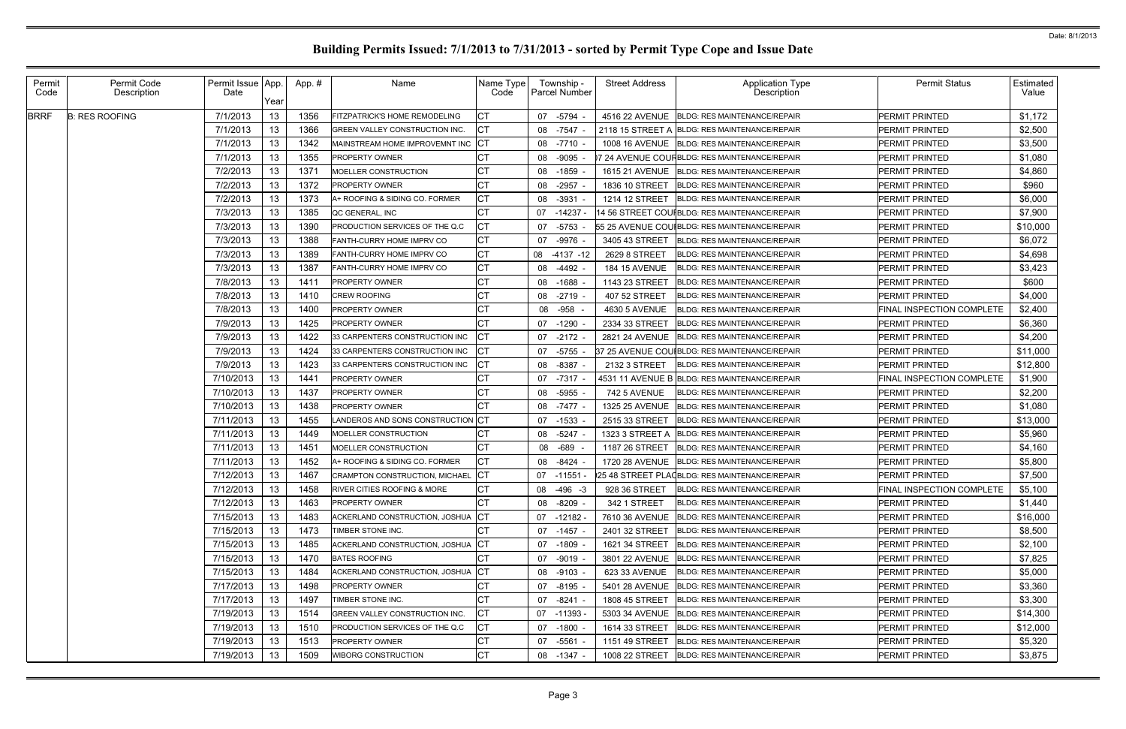| Permit<br>Code | Permit Code<br>Description | Permit Issue App.<br>Date | Yearl | App.# | Name                                   | Name Type<br>Code |    | Township -<br><b>Parcel Number</b> | <b>Street Address</b> | <b>Application Type</b><br>Description        | <b>Permit Status</b>             | Estimated<br>Value |
|----------------|----------------------------|---------------------------|-------|-------|----------------------------------------|-------------------|----|------------------------------------|-----------------------|-----------------------------------------------|----------------------------------|--------------------|
| <b>BRRF</b>    | <b>B: RES ROOFING</b>      | 7/1/2013                  | 13    | 1356  | FITZPATRICK'S HOME REMODELING          | CТ                | 07 | -5794                              | 4516 22 AVENUE        | <b>BLDG: RES MAINTENANCE/REPAIR</b>           | PERMIT PRINTED                   | \$1,172            |
|                |                            | 7/1/2013                  | 13    | 1366  | GREEN VALLEY CONSTRUCTION INC.         | СT                | 08 | $-7547$                            | 2118 15 STREET A      | <b>BLDG: RES MAINTENANCE/REPAIR</b>           | PERMIT PRINTED                   | \$2,500            |
|                |                            | 7/1/2013                  | 13    | 1342  | MAINSTREAM HOME IMPROVEMNT INC         | IСT               | 08 | $-7710$                            | <b>1008 16 AVENUE</b> | <b>BLDG: RES MAINTENANCE/REPAIR</b>           | PERMIT PRINTED                   | \$3,500            |
|                |                            | 7/1/2013                  | 13    | 1355  | <b>PROPERTY OWNER</b>                  | СТ                | 08 | $-9095$                            |                       | 7 24 AVENUE COUFBLDG: RES MAINTENANCE/REPAIR  | PERMIT PRINTED                   | \$1,080            |
|                |                            | 7/2/2013                  | 13    | 1371  | MOELLER CONSTRUCTION                   | СT                | 08 | $-1859$                            | <b>1615 21 AVENUE</b> | <b>BLDG: RES MAINTENANCE/REPAIR</b>           | PERMIT PRINTED                   | \$4,860            |
|                |                            | 7/2/2013                  | 13    | 1372  | PROPERTY OWNER                         | СT                | 08 | $-2957$                            | 1836 10 STREET        | <b>BLDG: RES MAINTENANCE/REPAIR</b>           | PERMIT PRINTED                   | \$960              |
|                |                            | 7/2/2013                  | 13    | 1373  | A+ ROOFING & SIDING CO. FORMER         | СT                | 08 | $-3931$                            | 1214 12 STREET        | <b>BLDG: RES MAINTENANCE/REPAIR</b>           | PERMIT PRINTED                   | \$6,000            |
|                |                            | 7/3/2013                  | 13    | 1385  | QC GENERAL, INC                        | СT                | 07 | $-14237$                           |                       | 4 56 STREET COUIBLDG: RES MAINTENANCE/REPAIR  | PERMIT PRINTED                   | \$7,900            |
|                |                            | 7/3/2013                  | 13    | 1390  | PRODUCTION SERVICES OF THE Q.C         | СT                | 07 | $-5753$                            |                       | 55 25 AVENUE COUIBLDG: RES MAINTENANCE/REPAIR | <b>PERMIT PRINTED</b>            | \$10,000           |
|                |                            | 7/3/2013                  | 13    | 1388  | FANTH-CURRY HOME IMPRV CO              | СT                | 07 | $-9976$                            | 3405 43 STREET        | <b>BLDG: RES MAINTENANCE/REPAIR</b>           | PERMIT PRINTED                   | \$6,072            |
|                |                            | 7/3/2013                  | 13    | 1389  | FANTH-CURRY HOME IMPRV CO              | СT                | 08 | $-4137 - 12$                       | 2629 8 STREET         | <b>BLDG: RES MAINTENANCE/REPAIR</b>           | PERMIT PRINTED                   | \$4,698            |
|                |                            | 7/3/2013                  | 13    | 1387  | FANTH-CURRY HOME IMPRV CO              | СT                | 08 | $-4492$                            | <b>184 15 AVENUE</b>  | <b>BLDG: RES MAINTENANCE/REPAIR</b>           | PERMIT PRINTED                   | \$3,423            |
|                |                            | 7/8/2013                  | 13    | 1411  | PROPERTY OWNER                         | СT                | 08 | $-1688$                            | 1143 23 STREET        | <b>BLDG: RES MAINTENANCE/REPAIR</b>           | <b>PERMIT PRINTED</b>            | \$600              |
|                |                            | 7/8/2013                  | 13    | 1410  | CREW ROOFING                           | СT                | 08 | $-2719$                            | 407 52 STREET         | <b>BLDG: RES MAINTENANCE/REPAIR</b>           | PERMIT PRINTED                   | \$4,000            |
|                |                            | 7/8/2013                  | 13    | 1400  | PROPERTY OWNER                         | СT                | 08 | $-958$                             | 4630 5 AVENUE         | <b>BLDG: RES MAINTENANCE/REPAIR</b>           | FINAL INSPECTION COMPLETE        | \$2,400            |
|                |                            | 7/9/2013                  | 13    | 1425  | PROPERTY OWNER                         | СT                | 07 | $-1290$                            | 2334 33 STREET        | <b>BLDG: RES MAINTENANCE/REPAIR</b>           | PERMIT PRINTED                   | \$6,360            |
|                |                            | 7/9/2013                  | 13    | 1422  | 33 CARPENTERS CONSTRUCTION INC         | СT                | 07 | $-2172$                            | 2821 24 AVENUE        | <b>BLDG: RES MAINTENANCE/REPAIR</b>           | <b>PERMIT PRINTED</b>            | \$4,200            |
|                |                            | 7/9/2013                  | 13    | 1424  | 33 CARPENTERS CONSTRUCTION INC         | CТ                | 07 | $-5755$                            |                       | 37 25 AVENUE COUIBLDG: RES MAINTENANCE/REPAIR | PERMIT PRINTED                   | \$11,000           |
|                |                            | 7/9/2013                  | 13    | 1423  | 33 CARPENTERS CONSTRUCTION INC         | СT                | 08 | $-8387$                            | 2132 3 STREET         | <b>BLDG: RES MAINTENANCE/REPAIR</b>           | PERMIT PRINTED                   | \$12,800           |
|                |                            | 7/10/2013                 | 13    | 1441  | PROPERTY OWNER                         | СТ                | 07 | $-7317$                            |                       | 4531 11 AVENUE B BLDG: RES MAINTENANCE/REPAIR | FINAL INSPECTION COMPLETE        | \$1,900            |
|                |                            | 7/10/2013                 | 13    | 1437  | PROPERTY OWNER                         | CТ                | 08 | -5955                              | 742 5 AVENUE          | <b>BLDG: RES MAINTENANCE/REPAIR</b>           | PERMIT PRINTED                   | \$2,200            |
|                |                            | 7/10/2013                 | 13    | 1438  | PROPERTY OWNER                         | СT                | 08 | $-7477$                            | 1325 25 AVENUE        | <b>BLDG: RES MAINTENANCE/REPAIR</b>           | PERMIT PRINTED                   | \$1,080            |
|                |                            | 7/11/2013                 | 13    | 1455  | LANDEROS AND SONS CONSTRUCTION CT      |                   |    | 07 -1533                           | 2515 33 STREET        | <b>BLDG: RES MAINTENANCE/REPAIR</b>           | PERMIT PRINTED                   | \$13,000           |
|                |                            | 7/11/2013                 | 13    | 1449  | MOELLER CONSTRUCTION                   | СT                | 08 | $-5247$                            | 1323 3 STREET A       | <b>BLDG: RES MAINTENANCE/REPAIR</b>           | PERMIT PRINTED                   | \$5,960            |
|                |                            | 7/11/2013                 | 13    | 1451  | MOELLER CONSTRUCTION                   | СT                | 08 | $-689$                             | 1187 26 STREET        | <b>BLDG: RES MAINTENANCE/REPAIR</b>           | <b>PERMIT PRINTED</b>            | \$4,160            |
|                |                            | 7/11/2013                 | 13    | 1452  | A+ ROOFING & SIDING CO. FORMER         | СT                | 08 | $-8424$                            | 1720 28 AVENUE        | <b>BLDG: RES MAINTENANCE/REPAIR</b>           | PERMIT PRINTED                   | \$5,800            |
|                |                            | 7/12/2013                 | 13    | 1467  | <b>CRAMPTON CONSTRUCTION, MICHAEL</b>  | CТ                |    | 07 -11551 -                        |                       | 25 48 STREET PLA(BLDG: RES MAINTENANCE/REPAIR | <b>PERMIT PRINTED</b>            | \$7,500            |
|                |                            | 7/12/2013                 | 13    | 1458  | <b>RIVER CITIES ROOFING &amp; MORE</b> | IСT               |    | 08 -496 -3                         | 928 36 STREET         | <b>BLDG: RES MAINTENANCE/REPAIR</b>           | <b>FINAL INSPECTION COMPLETE</b> | \$5,100            |
|                |                            | 7/12/2013                 | 13    | 1463  | <b>PROPERTY OWNER</b>                  |                   | 08 | $-8209 -$                          | 342 1 STREET          | <b>BLDG: RES MAINTENANCE/REPAIR</b>           | <b>PERMIT PRINTED</b>            | \$1,440            |
|                |                            | 7/15/2013                 | 13    | 1483  | ACKERLAND CONSTRUCTION, JOSHUA         | IСТ               | 07 | $-12182 -$                         |                       | 7610 36 AVENUE   BLDG: RES MAINTENANCE/REPAIR | PERMIT PRINTED                   | \$16,000           |
|                |                            | 7/15/2013                 | 13    | 1473  | TIMBER STONE INC.                      |                   | 07 | -1457                              | 2401 32 STREET        | <b>BLDG: RES MAINTENANCE/REPAIR</b>           | PERMIT PRINTED                   | \$8,500            |
|                |                            | 7/15/2013                 | 13    | 1485  | ACKERLAND CONSTRUCTION, JOSHUA         | IСТ               | 07 | -1809                              | 1621 34 STREET        | <b>BLDG: RES MAINTENANCE/REPAIR</b>           | PERMIT PRINTED                   | \$2,100            |
|                |                            | 7/15/2013                 | 13    | 1470  | <b>BATES ROOFING</b>                   |                   | 07 | -9019                              |                       | 3801 22 AVENUE BLDG: RES MAINTENANCE/REPAIR   | PERMIT PRINTED                   | \$7,825            |
|                |                            | 7/15/2013                 | 13    | 1484  | ACKERLAND CONSTRUCTION, JOSHUA         | IСТ               | 08 | -9103                              | 623 33 AVENUE         | <b>BLDG: RES MAINTENANCE/REPAIR</b>           | PERMIT PRINTED                   | \$5,000            |
|                |                            | 7/17/2013                 | 13    | 1498  | <b>PROPERTY OWNER</b>                  | СT                | 07 | -8195                              |                       | 5401 28 AVENUE BLDG: RES MAINTENANCE/REPAIR   | PERMIT PRINTED                   | \$3,360            |
|                |                            | 7/17/2013                 | 13    | 1497  | TIMBER STONE INC.                      | СT                | 07 | -8241                              | <b>1808 45 STREET</b> | <b>BLDG: RES MAINTENANCE/REPAIR</b>           | PERMIT PRINTED                   | \$3,300            |
|                |                            | 7/19/2013                 | 13    | 1514  | <b>GREEN VALLEY CONSTRUCTION INC.</b>  | CТ                | 07 | $-11393$                           |                       | 5303 34 AVENUE BLDG: RES MAINTENANCE/REPAIR   | PERMIT PRINTED                   | \$14,300           |
|                |                            | 7/19/2013                 | 13    | 1510  | PRODUCTION SERVICES OF THE Q.C.        | СT                | 07 | -1800                              | 1614 33 STREET        | <b>BLDG: RES MAINTENANCE/REPAIR</b>           | PERMIT PRINTED                   | \$12,000           |
|                |                            | 7/19/2013                 | 13    | 1513  | <b>PROPERTY OWNER</b>                  | СT                | 07 | -5561                              | 1151 49 STREET        | <b>BLDG: RES MAINTENANCE/REPAIR</b>           | PERMIT PRINTED                   | \$5,320            |
|                |                            | 7/19/2013                 | 13    | 1509  | <b>WIBORG CONSTRUCTION</b>             | <b>CT</b>         | 08 | -1347 -                            | 1008 22 STREET        | <b>BLDG: RES MAINTENANCE/REPAIR</b>           | PERMIT PRINTED                   | \$3,875            |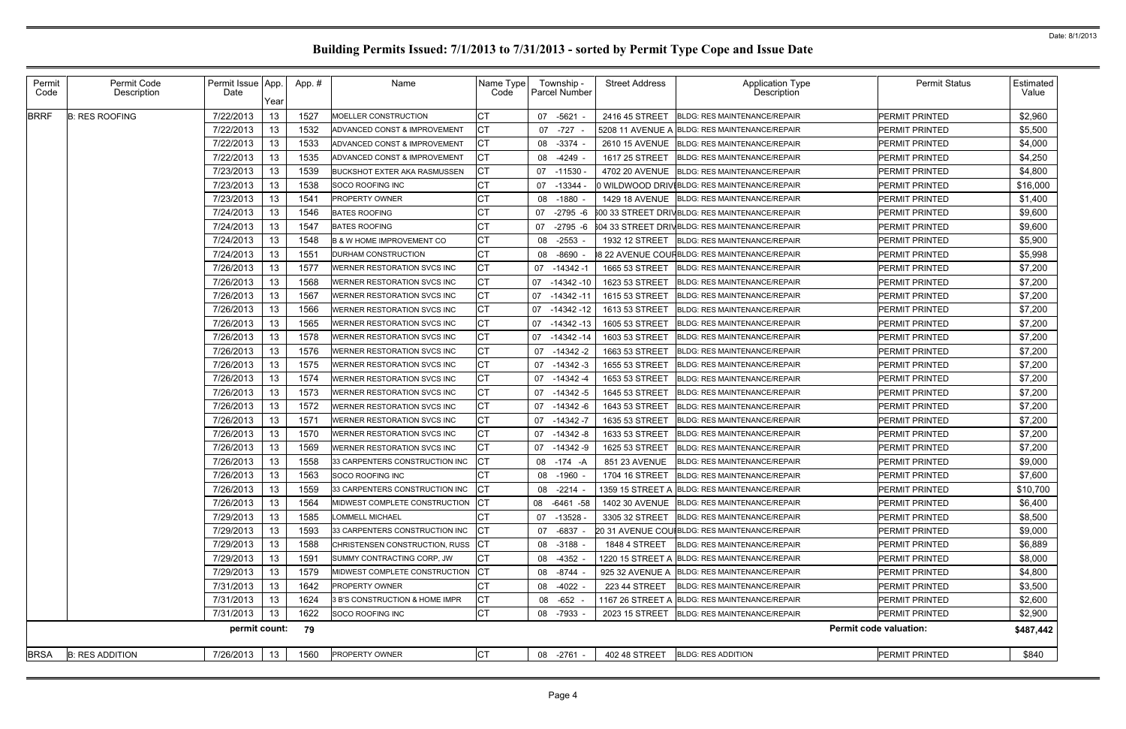| Permit<br>Code | Permit Code<br>Description | Permit Issue   App.<br>Date | Year | App.# | Name                                  | Name Type<br>Code | Township -<br>Parcel Number | <b>Street Address</b> | Application Type<br>Description                | <b>Permit Status</b>          | Estimated<br>Value |
|----------------|----------------------------|-----------------------------|------|-------|---------------------------------------|-------------------|-----------------------------|-----------------------|------------------------------------------------|-------------------------------|--------------------|
| <b>BRRF</b>    | <b>B: RES ROOFING</b>      | 7/22/2013                   | 13   | 1527  | MOELLER CONSTRUCTION                  | CТ                | 07 -5621                    | 2416 45 STREET        | <b>BLDG: RES MAINTENANCE/REPAIR</b>            | PERMIT PRINTED                | \$2,960            |
|                |                            | 7/22/2013                   | 13   | 1532  | ADVANCED CONST & IMPROVEMENT          | СT                | 07<br>$-727$                |                       | 5208 11 AVENUE A BLDG: RES MAINTENANCE/REPAIR  | <b>PERMIT PRINTED</b>         | \$5,500            |
|                |                            | 7/22/2013                   | 13   | 1533  | ADVANCED CONST & IMPROVEMENT          | <b>CT</b>         | $-3374$<br>08               | 2610 15 AVENUE        | <b>BLDG: RES MAINTENANCE/REPAIR</b>            | <b>PERMIT PRINTED</b>         | \$4,000            |
|                |                            | 7/22/2013                   | 13   | 1535  | ADVANCED CONST & IMPROVEMENT          | СT                | 08<br>$-4249$               | 1617 25 STREET        | <b>BLDG: RES MAINTENANCE/REPAIR</b>            | <b>PERMIT PRINTED</b>         | \$4,250            |
|                |                            | 7/23/2013                   | 13   | 1539  | <b>BUCKSHOT EXTER AKA RASMUSSEN</b>   | СT                | $-11530$<br>07              | 4702 20 AVENUE        | <b>BLDG: RES MAINTENANCE/REPAIR</b>            | <b>PERMIT PRINTED</b>         | \$4,800            |
|                |                            | 7/23/2013                   | 13   | 1538  | SOCO ROOFING INC                      | СT                | 07<br>$-13344$              |                       | 0 WILDWOOD DRIVIBLDG: RES MAINTENANCE/REPAIR   | <b>PERMIT PRINTED</b>         | \$16,000           |
|                |                            | 7/23/2013                   | 13   | 1541  | <b>PROPERTY OWNER</b>                 |                   | 08<br>$-1880$               |                       | 1429 18 AVENUE BLDG: RES MAINTENANCE/REPAIR    | <b>PERMIT PRINTED</b>         | \$1,400            |
|                |                            | 7/24/2013                   | 13   | 1546  | <b>BATES ROOFING</b>                  | СT                | 07<br>$-2795 - 6$           |                       | 600 33 STREET DRIVBLDG: RES MAINTENANCE/REPAIR | PERMIT PRINTED                | \$9,600            |
|                |                            | 7/24/2013                   | 13   | 1547  | <b>BATES ROOFING</b>                  |                   | $-2795 - 6$<br>07           |                       | 604 33 STREET DRIVBLDG: RES MAINTENANCE/REPAIR | PERMIT PRINTED                | \$9,600            |
|                |                            | 7/24/2013                   | 13   | 1548  | <b>B &amp; W HOME IMPROVEMENT CO</b>  | СT                | $-2553$<br>08               | 1932 12 STREET        | <b>BLDG: RES MAINTENANCE/REPAIR</b>            | PERMIT PRINTED                | \$5,900            |
|                |                            | 7/24/2013                   | 13   | 1551  | <b>DURHAM CONSTRUCTION</b>            |                   | $-8690$<br>08               |                       | 8 22 AVENUE COUFBLDG: RES MAINTENANCE/REPAIR   | PERMIT PRINTED                | \$5,998            |
|                |                            | 7/26/2013                   | 13   | 1577  | WERNER RESTORATION SVCS INC           | СT                | $-14342 - 1$<br>07          | 1665 53 STREET        | <b>BLDG: RES MAINTENANCE/REPAIR</b>            | PERMIT PRINTED                | \$7,200            |
|                |                            | 7/26/2013                   | 13   | 1568  | WERNER RESTORATION SVCS INC           |                   | $-14342-10$<br>07           | 1623 53 STREET        | <b>BLDG: RES MAINTENANCE/REPAIR</b>            | PERMIT PRINTED                | \$7,200            |
|                |                            | 7/26/2013                   | 13   | 1567  | <b>WERNER RESTORATION SVCS INC</b>    | СT                | -14342 -11<br>07            | 1615 53 STREET        | <b>BLDG: RES MAINTENANCE/REPAIR</b>            | <b>PERMIT PRINTED</b>         | \$7,200            |
|                |                            | 7/26/2013                   | 13   | 1566  | WERNER RESTORATION SVCS INC           | СT                | $-14342 - 12$<br>07         | 1613 53 STREET        | <b>BLDG: RES MAINTENANCE/REPAIR</b>            | PERMIT PRINTED                | \$7,200            |
|                |                            | 7/26/2013                   | 13   | 1565  | WERNER RESTORATION SVCS INC           | СT                | 07<br>$-14342-13$           | 1605 53 STREET        | <b>BLDG: RES MAINTENANCE/REPAIR</b>            | <b>PERMIT PRINTED</b>         | \$7,200            |
|                |                            | 7/26/2013                   | 13   | 1578  | WERNER RESTORATION SVCS INC           | CТ                | 07 -14342 -14               | 1603 53 STREET        | <b>BLDG: RES MAINTENANCE/REPAIR</b>            | <b>PERMIT PRINTED</b>         | \$7,200            |
|                |                            | 7/26/2013                   | 13   | 1576  | <b>WERNER RESTORATION SVCS INC</b>    | СT                | $-14342 - 2$<br>07          | 1663 53 STREET        | <b>BLDG: RES MAINTENANCE/REPAIR</b>            | <b>PERMIT PRINTED</b>         | \$7,200            |
|                |                            | 7/26/2013                   | 13   | 1575  | WERNER RESTORATION SVCS INC           | СT                | $-14342-3$<br>07            | 1655 53 STREET        | <b>BLDG: RES MAINTENANCE/REPAIR</b>            | PERMIT PRINTED                | \$7,200            |
|                |                            | 7/26/2013                   | 13   | 1574  | <b>WERNER RESTORATION SVCS INC</b>    | СT                | $-14342 -4$<br>07           | 1653 53 STREET        | <b>BLDG: RES MAINTENANCE/REPAIR</b>            | <b>PERMIT PRINTED</b>         | \$7,200            |
|                |                            | 7/26/2013                   | 13   | 1573  | WERNER RESTORATION SVCS INC           | СT                | $-14342-5$<br>07            | 1645 53 STREET        | <b>BLDG: RES MAINTENANCE/REPAIR</b>            | <b>PERMIT PRINTED</b>         | \$7,200            |
|                |                            | 7/26/2013                   | 13   | 1572  | <b>WERNER RESTORATION SVCS INC</b>    | СT                | $-14342 - 6$<br>07          | 1643 53 STREET        | <b>BLDG: RES MAINTENANCE/REPAIR</b>            | <b>PERMIT PRINTED</b>         | \$7,200            |
|                |                            | 7/26/2013                   | 13   | 1571  | <b>WERNER RESTORATION SVCS INC</b>    | СT                | $-14342 - 7$<br>07          | 1635 53 STREET        | <b>BLDG: RES MAINTENANCE/REPAIR</b>            | PERMIT PRINTED                | \$7,200            |
|                |                            | 7/26/2013                   | 13   | 1570  | <b>WERNER RESTORATION SVCS INC</b>    | СT                | $-14342 - 8$<br>07          | 1633 53 STREET        | <b>BLDG: RES MAINTENANCE/REPAIR</b>            | <b>PERMIT PRINTED</b>         | \$7,200            |
|                |                            | 7/26/2013                   | 13   | 1569  | <b>WERNER RESTORATION SVCS INC</b>    | СT                | 07<br>$-14342 - 9$          | 1625 53 STREET        | <b>BLDG: RES MAINTENANCE/REPAIR</b>            | PERMIT PRINTED                | \$7,200            |
|                |                            | 7/26/2013                   | 13   | 1558  | 33 CARPENTERS CONSTRUCTION INC        | СT                | 08<br>$-174 - A$            | 851 23 AVENUE         | <b>BLDG: RES MAINTENANCE/REPAIR</b>            | PERMIT PRINTED                | \$9,000            |
|                |                            | 7/26/2013                   | 13   | 1563  | <b>SOCO ROOFING INC</b>               |                   | 08<br>-1960                 | 1704 16 STREET        | <b>BLDG: RES MAINTENANCE/REPAIR</b>            | <b>PERMIT PRINTED</b>         | \$7,600            |
|                |                            | 7/26/2013                   | 13   | 1559  | 33 CARPENTERS CONSTRUCTION INC        | CT                | 08 -2214                    |                       | 1359 15 STREET A BLDG: RES MAINTENANCE/REPAIR  | <b>PERMIT PRINTED</b>         | \$10,700           |
|                |                            | 7/26/2013                   | 13   | 1564  | <b>IMIDWEST COMPLETE CONSTRUCTION</b> | IСT               | 08 -6461 -58                |                       | 1402 30 AVENUE BLDG: RES MAINTENANCE/REPAIR    | PERMIT PRINTED                | \$6,400            |
|                |                            | 7/29/2013                   | 13   | 1585  | <b>LOMMELL MICHAEL</b>                |                   | $-13528$<br>07              |                       | 3305 32 STREET BLDG: RES MAINTENANCE/REPAIR    | PERMIT PRINTED                | \$8,500            |
|                |                            | 7/29/2013                   | 13   | 1593  | 33 CARPENTERS CONSTRUCTION INC        | IСT               | -6837<br>07                 |                       | 20 31 AVENUE COUIBLDG: RES MAINTENANCE/REPAIR  | PERMIT PRINTED                | \$9,000            |
|                |                            | 7/29/2013                   | 13   | 1588  | CHRISTENSEN CONSTRUCTION, RUSS        | ICT               | $-3188 -$<br>08             |                       | 1848 4 STREET   BLDG: RES MAINTENANCE/REPAIR   | PERMIT PRINTED                | \$6,889            |
|                |                            | 7/29/2013                   | 13   | 1591  | SUMMY CONTRACTING CORP, JW            | СT                | -4352<br>08                 |                       | 1220 15 STREET A BLDG: RES MAINTENANCE/REPAIR  | PERMIT PRINTED                | \$8,000            |
|                |                            | 7/29/2013                   | 13   | 1579  | MIDWEST COMPLETE CONSTRUCTION         | СT                | -8744<br>08                 |                       | 925 32 AVENUE A BLDG: RES MAINTENANCE/REPAIR   | PERMIT PRINTED                | \$4,800            |
|                |                            | 7/31/2013                   | 13   | 1642  | <b>PROPERTY OWNER</b>                 | СT                | -4022 -<br>08               | 223 44 STREET         | <b>BLDG: RES MAINTENANCE/REPAIR</b>            | PERMIT PRINTED                | \$3,500            |
|                |                            | 7/31/2013                   | 13   | 1624  | 3 B'S CONSTRUCTION & HOME IMPR        | СT                | -652 -<br>08                |                       | 1167 26 STREET A BLDG: RES MAINTENANCE/REPAIR  | <b>PERMIT PRINTED</b>         | \$2,600            |
|                |                            | 7/31/2013                   | 13   | 1622  | SOCO ROOFING INC                      | СT                | 08 -7933                    |                       | 2023 15 STREET BLDG: RES MAINTENANCE/REPAIR    | PERMIT PRINTED                | \$2,900            |
|                |                            | permit count:               |      | 79    |                                       |                   |                             |                       |                                                | <b>Permit code valuation:</b> | \$487,442          |
| <b>BRSA</b>    | <b>B: RES ADDITION</b>     | 7/26/2013                   | 13   | 1560  | PROPERTY OWNER                        | <b>CT</b>         | 08 -2761 -                  | 402 48 STREET         | <b>BLDG: RES ADDITION</b>                      | PERMIT PRINTED                | \$840              |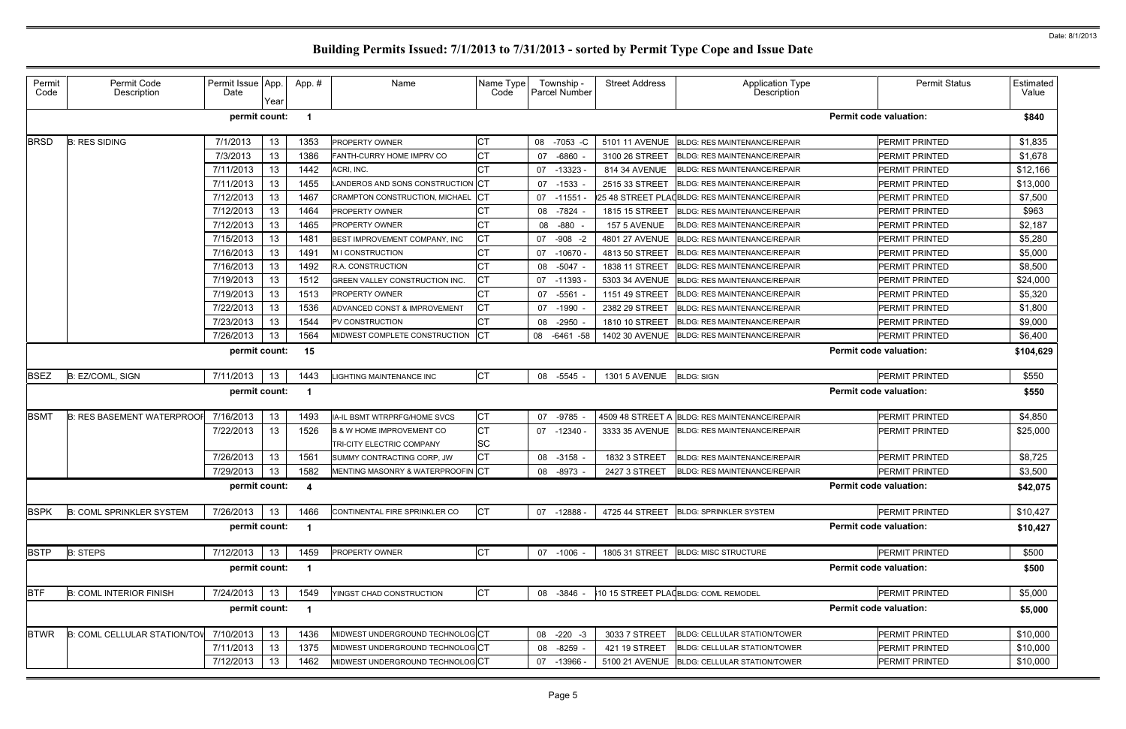|  | <b>Permit Status</b>                                                                                                                                                                                                                                                                                                                                                                                                                                                                                                                                                                                                                                        | Estimated<br>Value |  |  |  |
|--|-------------------------------------------------------------------------------------------------------------------------------------------------------------------------------------------------------------------------------------------------------------------------------------------------------------------------------------------------------------------------------------------------------------------------------------------------------------------------------------------------------------------------------------------------------------------------------------------------------------------------------------------------------------|--------------------|--|--|--|
|  |                                                                                                                                                                                                                                                                                                                                                                                                                                                                                                                                                                                                                                                             | \$840              |  |  |  |
|  | PERMIT PRINTED                                                                                                                                                                                                                                                                                                                                                                                                                                                                                                                                                                                                                                              | \$1,835            |  |  |  |
|  | PERMIT PRINTED                                                                                                                                                                                                                                                                                                                                                                                                                                                                                                                                                                                                                                              | \$1,678            |  |  |  |
|  | PERMIT PRINTED                                                                                                                                                                                                                                                                                                                                                                                                                                                                                                                                                                                                                                              | \$12,166           |  |  |  |
|  | PERMIT PRINTED                                                                                                                                                                                                                                                                                                                                                                                                                                                                                                                                                                                                                                              | \$13,000           |  |  |  |
|  | PERMIT PRINTED                                                                                                                                                                                                                                                                                                                                                                                                                                                                                                                                                                                                                                              | \$7,500            |  |  |  |
|  | PERMIT PRINTED                                                                                                                                                                                                                                                                                                                                                                                                                                                                                                                                                                                                                                              | \$963              |  |  |  |
|  | PERMIT PRINTED                                                                                                                                                                                                                                                                                                                                                                                                                                                                                                                                                                                                                                              | \$2,187            |  |  |  |
|  | PERMIT PRINTED                                                                                                                                                                                                                                                                                                                                                                                                                                                                                                                                                                                                                                              | \$5,280            |  |  |  |
|  | PERMIT PRINTED                                                                                                                                                                                                                                                                                                                                                                                                                                                                                                                                                                                                                                              | \$5,000            |  |  |  |
|  | PERMIT PRINTED                                                                                                                                                                                                                                                                                                                                                                                                                                                                                                                                                                                                                                              | \$8,500            |  |  |  |
|  | PERMIT PRINTED                                                                                                                                                                                                                                                                                                                                                                                                                                                                                                                                                                                                                                              | \$24,000           |  |  |  |
|  | PERMIT PRINTED                                                                                                                                                                                                                                                                                                                                                                                                                                                                                                                                                                                                                                              | \$5,320            |  |  |  |
|  | PERMIT PRINTED                                                                                                                                                                                                                                                                                                                                                                                                                                                                                                                                                                                                                                              | \$1,800            |  |  |  |
|  | PERMIT PRINTED                                                                                                                                                                                                                                                                                                                                                                                                                                                                                                                                                                                                                                              |                    |  |  |  |
|  | PERMIT PRINTED                                                                                                                                                                                                                                                                                                                                                                                                                                                                                                                                                                                                                                              |                    |  |  |  |
|  | <b>Permit code valuation:</b><br>\$9,000<br>\$6,400<br><b>Permit code valuation:</b><br>\$104,629<br>\$550<br>PERMIT PRINTED<br><b>Permit code valuation:</b><br>\$550<br>PERMIT PRINTED<br>\$4,850<br>PERMIT PRINTED<br>\$25,000<br>\$8,725<br>PERMIT PRINTED<br>\$3,500<br>PERMIT PRINTED<br><b>Permit code valuation:</b><br>\$42,075<br>PERMIT PRINTED<br>\$10,427<br><b>Permit code valuation:</b><br>\$10,427<br>PERMIT PRINTED<br>\$500<br><b>Permit code valuation:</b><br>\$500<br>PERMIT PRINTED<br>\$5,000<br><b>Permit code valuation:</b><br>\$5,000<br>PERMIT PRINTED<br>\$10,000<br>\$10,000<br>PERMIT PRINTED<br>\$10,000<br>PERMIT PRINTED |                    |  |  |  |
|  |                                                                                                                                                                                                                                                                                                                                                                                                                                                                                                                                                                                                                                                             |                    |  |  |  |
|  |                                                                                                                                                                                                                                                                                                                                                                                                                                                                                                                                                                                                                                                             |                    |  |  |  |
|  |                                                                                                                                                                                                                                                                                                                                                                                                                                                                                                                                                                                                                                                             |                    |  |  |  |
|  |                                                                                                                                                                                                                                                                                                                                                                                                                                                                                                                                                                                                                                                             |                    |  |  |  |
|  |                                                                                                                                                                                                                                                                                                                                                                                                                                                                                                                                                                                                                                                             |                    |  |  |  |
|  |                                                                                                                                                                                                                                                                                                                                                                                                                                                                                                                                                                                                                                                             |                    |  |  |  |
|  |                                                                                                                                                                                                                                                                                                                                                                                                                                                                                                                                                                                                                                                             |                    |  |  |  |
|  |                                                                                                                                                                                                                                                                                                                                                                                                                                                                                                                                                                                                                                                             |                    |  |  |  |
|  |                                                                                                                                                                                                                                                                                                                                                                                                                                                                                                                                                                                                                                                             |                    |  |  |  |
|  |                                                                                                                                                                                                                                                                                                                                                                                                                                                                                                                                                                                                                                                             |                    |  |  |  |
|  |                                                                                                                                                                                                                                                                                                                                                                                                                                                                                                                                                                                                                                                             |                    |  |  |  |
|  |                                                                                                                                                                                                                                                                                                                                                                                                                                                                                                                                                                                                                                                             |                    |  |  |  |
|  |                                                                                                                                                                                                                                                                                                                                                                                                                                                                                                                                                                                                                                                             |                    |  |  |  |
|  |                                                                                                                                                                                                                                                                                                                                                                                                                                                                                                                                                                                                                                                             |                    |  |  |  |
|  |                                                                                                                                                                                                                                                                                                                                                                                                                                                                                                                                                                                                                                                             |                    |  |  |  |
|  |                                                                                                                                                                                                                                                                                                                                                                                                                                                                                                                                                                                                                                                             |                    |  |  |  |

### Permit Code Permit Code Description Permit Issue Date App. Year App. # Name Name Name Type Code Township - Parcel Number Street Address | Application Type **Description** BRSD B: RES SIDING | 7/1/2013 | 13 | 1353 PROPERTY OWNER | CT | 08 -7053 -C | 5101 11 AVENUE BLDG: RES MAINTENANCE/REPAIR 7/3/2013 | 13 | 1386 FANTH-CURRY HOME IMPRV CO CT | 07 -6860 - 3100 26 STREET BLDG: RES MAINTENANCE/REPAIR 7/11/2013 13 1442 ACRI, INC. CT 1 07 -13323 - 814 34 AVENUE BLDG: RES MAINTENANCE/REPAIR 7/11/2013 13 1455 LANDEROS AND SONS CONSTRUCTION CT 07 -1533 - 2515 33 STREET BLDG: RES MAINTENANCE/REPAIR 7/12/2013 13 1467 CRAMPTON CONSTRUCTION, MICHAEL CT 107 -11551 - 25 48 STREET PLACBLDG: RES MAINTENANCE/REPAIR 7/12/2013 | 13 | 1464 PROPERTY OWNER CT | 08 -7824 - | 1815 15 STREET BLDG: RES MAINTENANCE/REPAIR 7/12/2013 | 13 | 1465 PROPERTY OWNER CT | 08 -880 - | 157 5 AVENUE BLDG: RES MAINTENANCE/REPAIR 7/15/2013 | 13 | 1481 BEST IMPROVEMENT COMPANY, INC CT | 07 -908 -2 | 4801 27 AVENUE BLDG: RES MAINTENANCE/REPAIR 7/16/2013 13 1491 M I CONSTRUCTION CT 07 -10670 - 4813 50 STREET BLDG: RES MAINTENANCE/REPAIR 7/16/2013 13 1492 R.A. CONSTRUCTION CT 08 -5047 - 1838 11 STREET BLDG: RES MAINTENANCE/REPAIR 7/19/2013 13 1512 GREEN VALLEY CONSTRUCTION INC. CT 107 -11393 - 5303 34 AVENUE BLDG: RES MAINTENANCE/REPAIR 7/19/2013 13 1513 PROPERTY OWNER CT 107 -5561 - 1151 49 STREET BLDG: RES MAINTENANCE/REPAIR 7/22/2013 | 13 | 1536 ADVANCED CONST & IMPROVEMENT CT | 07 -1990 - | 2382 29 STREET BLDG: RES MAINTENANCE/REPAIR 7/23/2013 | 13 | 1544 PV CONSTRUCTION CT | 08 -2950 - | 1810 10 STREET BLDG: RES MAINTENANCE/REPAIR 7/26/2013 | 13 | 1564 MIDWEST COMPLETE CONSTRUCTION CT | 08 -6461 -58 | 1402 30 AVENUE BLDG: RES MAINTENANCE/REPAIR BSEZ B: EZ/COML, SIGN | 7/11/2013 | 13 | 1443 LIGHTING MAINTENANCE INC | O8 -5545 | 1301 5 AVENUE BLDG: SIGN \$550  $\mathsf{BSMT}$  B: RES BASEMENT WATERPROOF  $\overline{\phantom{0}}$  7/16/2013  $\phantom{0}$  13  $\phantom{0}$  1493  $\phantom{0}$  IA-IL BSMT WTRPRFG/HOME SVCS  $\phantom{0}$  CT  $\phantom{0}$  07  $\phantom{0}$  -9785 -  $\phantom{0}$  4509 48 STREET A BLDG: RES MAINTENANCE/REPAIR 7/22/2013 13 1526 B & W HOME IMPROVEMENT CO CT 07 -12340 - 3333 35 AVENUE BLDG: RES MAINTENANCE/REPAIR TRI-CITY ELECTRIC COMPANY SC 7/26/2013 | 13 | 1561 SUMMY CONTRACTING CORP, JW CT | 08 -3158 - | 1832 3 STREET BLDG: RES MAINTENANCE/REPAIR 7/29/2013 | 13 | 1582 MENTING MASONRY & WATERPROOFIN CT | 08 -8973 - | 2427 3 STREET BLDG: RES MAINTENANCE/REPAIR  ${\sf BSE}$   ${\sf B:}$  COML SPRINKLER SYSTEM  ${\sf 17/26/2013}$   ${\sf 13}$   ${\sf 1466}$   ${\sf 1200}$   ${\sf 1300}$   ${\sf 1466}$   ${\sf 160}$   ${\sf 1600}$   ${\sf 1700}$   ${\sf 1800}$   ${\sf 107}$   ${\sf 12888}$   ${\sf 1725}$   ${\sf 44}$  STREET  ${\sf 18LO}$  SPRINKLER S BSTP |B: STEPS | 7/12/2013 | 13 | 1459 |PROPERTY OWNER |CT | 07 -1006- | 1805 31 STREET BLDG: MISC STRUCTURE \$500 BTF B: COML INTERIOR FINISH | 7/24/2013 | 13 | 1549 YINGST CHAD CONSTRUCTION | CT | 08 -3846 - 10 15 STREET PLA(BLDG: COML REMODEL BTWR B: COML CELLULAR STATION/TOV 7/10/2013 | 13 | 1436 MIDWEST UNDERGROUND TECHNOLOG CT | 08 -220 -3 | 3033 7 STREET BLDG: CELLULAR STATION/TOWER 7/11/2013 13 1375 MIDWEST UNDERGROUND TECHNOLOGCT 108 -8259 - 421 19 STREET BLDG: CELLULAR STATION/TOWER 7/12/2013 | 13 | 1462 MIDWEST UNDERGROUND TECHNOLOGCT | 07 -13966 - 5100 21 AVENUE BLDG: CELLULAR STATION/TOWER **permit count: 1 Permit code valuation: \$840 permit count: 15 Permit code valuation: \$104,629 permit count: 1 Permit code valuation: \$550 permit count: 4 Permit code valuation: \$42,075 permit count: 1 Permit code valuation: \$10,427 permit count: 1 Permit code valuation: \$500 permit count: 1 Permit code valuation: \$5,000**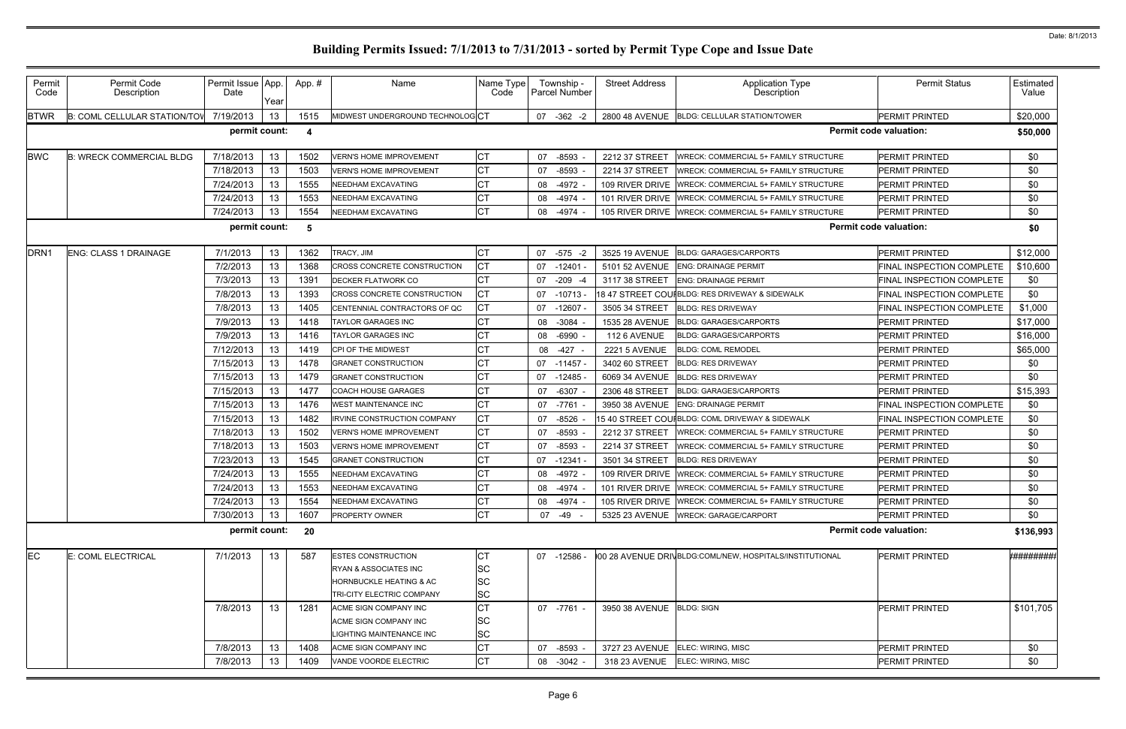| Permit<br>Code   | Permit Code<br>Description      | Permit Issue App.<br>Date | Year            | App.# | Name                               | Name Type<br>Code | Township -<br>Parcel Number | <b>Street Address</b>     | Application Type<br>Description                         | <b>Permit Status</b>          | Estimated  <br>Value |
|------------------|---------------------------------|---------------------------|-----------------|-------|------------------------------------|-------------------|-----------------------------|---------------------------|---------------------------------------------------------|-------------------------------|----------------------|
| <b>BTWR</b>      | B: COML CELLULAR STATION/TOV    | 7/19/2013                 | 13              | 1515  | MIDWEST UNDERGROUND TECHNOLOGCT    |                   | 07 -362 -2                  |                           | 2800 48 AVENUE BLDG: CELLULAR STATION/TOWER             | <b>PERMIT PRINTED</b>         | \$20,000             |
|                  |                                 | permit count:             |                 | -4    |                                    |                   |                             |                           |                                                         | <b>Permit code valuation:</b> | \$50,000             |
| <b>BWC</b>       | <b>B: WRECK COMMERCIAL BLDG</b> | 7/18/2013                 | 13              | 1502  | <b>VERN'S HOME IMPROVEMENT</b>     | СT                | $-8593$<br>07               | 2212 37 STREET            | WRECK: COMMERCIAL 5+ FAMILY STRUCTURE                   | <b>PERMIT PRINTED</b>         | \$0                  |
|                  |                                 | 7/18/2013                 | 13              | 1503  | <b>VERN'S HOME IMPROVEMENT</b>     | <b>CT</b>         | $-8593$<br>07               | 2214 37 STREET            | <b>WRECK: COMMERCIAL 5+ FAMILY STRUCTURE</b>            | <b>PERMIT PRINTED</b>         | \$0                  |
|                  |                                 | 7/24/2013                 | 13              | 1555  | <b>NEEDHAM EXCAVATING</b>          | C1                | -4972<br>08                 | 109 RIVER DRIVE           | WRECK: COMMERCIAL 5+ FAMILY STRUCTURE                   | <b>PERMIT PRINTED</b>         | \$0                  |
|                  |                                 | 7/24/2013                 | 13              | 1553  | <b>NEEDHAM EXCAVATING</b>          | СT                | $-4974$<br>08               | 101 RIVER DRIVE           | <b>WRECK: COMMERCIAL 5+ FAMILY STRUCTURE</b>            | <b>PERMIT PRINTED</b>         | \$0                  |
|                  |                                 | 7/24/2013                 | 13              | 1554  | NEEDHAM EXCAVATING                 | <b>CT</b>         | 08 -4974                    |                           | 105 RIVER DRIVE   WRECK: COMMERCIAL 5+ FAMILY STRUCTURE | <b>PERMIT PRINTED</b>         | \$0                  |
|                  |                                 | permit count:             |                 | -5    |                                    |                   |                             |                           |                                                         | <b>Permit code valuation:</b> | \$0                  |
| DRN <sub>1</sub> | <b>ENG: CLASS 1 DRAINAGE</b>    | 7/1/2013                  | 13              | 1362  | TRACY, JIM                         | CТ                | 07 -575 -2                  | 3525 19 AVENUE            | <b>BLDG: GARAGES/CARPORTS</b>                           | <b>PERMIT PRINTED</b>         | \$12,000             |
|                  |                                 | 7/2/2013                  | 13              | 1368  | CROSS CONCRETE CONSTRUCTION        | CТ                | -12401 -<br>07              |                           | 5101 52 AVENUE ENG: DRAINAGE PERMIT                     | FINAL INSPECTION COMPLETE     | \$10,600             |
|                  |                                 | 7/3/2013                  | 13              | 1391  | <b>DECKER FLATWORK CO</b>          | СT                | 07 -209 -4                  | 3117 38 STREET            | <b>ENG: DRAINAGE PERMIT</b>                             | FINAL INSPECTION COMPLETE     | \$0                  |
|                  |                                 | 7/8/2013                  | 13              | 1393  | <b>CROSS CONCRETE CONSTRUCTION</b> | CТ                | 07<br>-10713                |                           |                                                         | FINAL INSPECTION COMPLETE     | \$0                  |
|                  |                                 | 7/8/2013                  | 13              | 1405  | CENTENNIAL CONTRACTORS OF QC       | CТ                | 07<br>$-12607$              | 3505 34 STREET            | <b>BLDG: RES DRIVEWAY</b>                               | FINAL INSPECTION COMPLETE     | \$1,000              |
|                  |                                 | 7/9/2013                  | 13              | 1418  | TAYLOR GARAGES INC                 |                   | $-3084$<br>08               | 1535 28 AVENUE            | <b>BLDG: GARAGES/CARPORTS</b>                           | <b>PERMIT PRINTED</b>         | \$17,000             |
|                  |                                 | 7/9/2013                  | 13              | 1416  | <b>TAYLOR GARAGES INC</b>          |                   | 08<br>$-6990$               | 112 6 AVENUE              | <b>BLDG: GARAGES/CARPORTS</b>                           | <b>PERMIT PRINTED</b>         | \$16,000             |
|                  |                                 | 7/12/2013                 | 13              | 1419  | CPI OF THE MIDWEST                 |                   | $-427$<br>08                | <b>2221 5 AVENUE</b>      | <b>BLDG: COML REMODEL</b>                               | PERMIT PRINTED                | \$65,000             |
|                  |                                 | 7/15/2013                 | 13              | 1478  | <b>GRANET CONSTRUCTION</b>         |                   | 07<br>$-11457$              | 3402 60 STREET            | <b>BLDG: RES DRIVEWAY</b>                               | <b>PERMIT PRINTED</b>         | \$0                  |
|                  |                                 | 7/15/2013                 | 13              | 1479  | <b>GRANET CONSTRUCTION</b>         |                   | 07<br>$-12485$              | 6069 34 AVENUE            | <b>BLDG: RES DRIVEWAY</b>                               | <b>PERMIT PRINTED</b>         | \$0                  |
|                  |                                 | 7/15/2013                 | 13              | 1477  | <b>COACH HOUSE GARAGES</b>         |                   | $-6307$<br>07               | 2306 48 STREET            | <b>BLDG: GARAGES/CARPORTS</b>                           | <b>PERMIT PRINTED</b>         | \$15,393             |
|                  |                                 | 7/15/2013                 | 13              | 1476  | <b>WEST MAINTENANCE INC</b>        |                   | $-7761$<br>07               | 3950 38 AVENUE            | <b>ENG: DRAINAGE PERMIT</b>                             | FINAL INSPECTION COMPLETE     | \$0                  |
|                  |                                 | 7/15/2013                 | 13              | 1482  | IRVINE CONSTRUCTION COMPANY        | СT                | 07<br>$-8526$               |                           | 15 40 STREET COUIBLDG: COML DRIVEWAY & SIDEWALK         | FINAL INSPECTION COMPLETE     | \$0                  |
|                  |                                 | 7/18/2013                 | 13              | 1502  | <b>VERN'S HOME IMPROVEMENT</b>     |                   | $-8593$<br>07               | 2212 37 STREET            | <b>WRECK: COMMERCIAL 5+ FAMILY STRUCTURE</b>            | <b>PERMIT PRINTED</b>         | \$0                  |
|                  |                                 | 7/18/2013                 | 13              | 1503  | <b>VERN'S HOME IMPROVEMENT</b>     | СT                | 07<br>$-8593$               | 2214 37 STREET            | <b>WRECK: COMMERCIAL 5+ FAMILY STRUCTURE</b>            | <b>PERMIT PRINTED</b>         | \$0                  |
|                  |                                 | 7/23/2013                 | 13              | 1545  | <b>GRANET CONSTRUCTION</b>         |                   | 07<br>$-12341$              | 3501 34 STREET            | <b>BLDG: RES DRIVEWAY</b>                               | <b>PERMIT PRINTED</b>         | \$0                  |
|                  |                                 | 7/24/2013                 | 13              | 1555  | <b>NEEDHAM EXCAVATING</b>          |                   | $-4972$<br>08               | 109 RIVER DRIVE           | <b>WRECK: COMMERCIAL 5+ FAMILY STRUCTURE</b>            | PERMIT PRINTED                | \$0                  |
|                  |                                 | 7/24/2013                 | 13              | 1553  | NEEDHAM EXCAVATING                 | СT                | 08 -4974                    |                           | 101 RIVER DRIVE WRECK: COMMERCIAL 5+ FAMILY STRUCTURE   | PERMIT PRINTED                | \$0                  |
|                  |                                 | 7/24/2013                 | 13              | 1554  | NEEDHAM EXCAVATING                 | СT                | 08<br>-4974                 |                           | 105 RIVER DRIVE   WRECK: COMMERCIAL 5+ FAMILY STRUCTURE | <b>PERMIT PRINTED</b>         | \$0                  |
|                  |                                 | 7/30/2013                 | 13              | 1607  | <b>PROPERTY OWNER</b>              | СT                | 07 -49 -                    |                           | 5325 23 AVENUE   WRECK: GARAGE/CARPORT                  | PERMIT PRINTED                | \$0                  |
|                  |                                 | permit count:             |                 | 20    |                                    |                   |                             |                           |                                                         | <b>Permit code valuation:</b> | \$136,993            |
| EC               | E: COML ELECTRICAL              | 7/1/2013                  | 13              | 587   | <b>ESTES CONSTRUCTION</b>          | СT                | 07 -12586 -                 |                           | 00 28 AVENUE DRIVBLDG:COML/NEW, HOSPITALS/INSTITUTIONAL | <b>PERMIT PRINTED</b>         | ************         |
|                  |                                 |                           |                 |       | RYAN & ASSOCIATES INC              | <b>SC</b>         |                             |                           |                                                         |                               |                      |
|                  |                                 |                           |                 |       | <b>HORNBUCKLE HEATING &amp; AC</b> | <b>SC</b>         |                             |                           |                                                         |                               |                      |
|                  |                                 |                           |                 |       | TRI-CITY ELECTRIC COMPANY          | SC                |                             |                           |                                                         |                               |                      |
|                  |                                 | 7/8/2013                  | 13              | 1281  | ACME SIGN COMPANY INC              | СT                | 07 -7761 -                  | 3950 38 AVENUE BLDG: SIGN |                                                         | <b>PERMIT PRINTED</b>         | \$101,705            |
|                  |                                 |                           |                 |       | ACME SIGN COMPANY INC              | SC                |                             |                           |                                                         |                               |                      |
|                  |                                 |                           |                 |       | IGHTING MAINTENANCE INC            | <b>SC</b>         |                             |                           |                                                         |                               |                      |
|                  |                                 | 7/8/2013                  | 13              | 1408  | ACME SIGN COMPANY INC              | СT                | -8593<br>07                 |                           | 3727 23 AVENUE ELEC: WIRING, MISC                       | <b>PERMIT PRINTED</b>         | \$0                  |
|                  |                                 | 7/8/2013                  | 13 <sup>°</sup> | 1409  | VANDE VOORDE ELECTRIC              | <b>CT</b>         | 08 -3042                    | 318 23 AVENUE             | ELEC: WIRING, MISC                                      | <b>PERMIT PRINTED</b>         | \$0                  |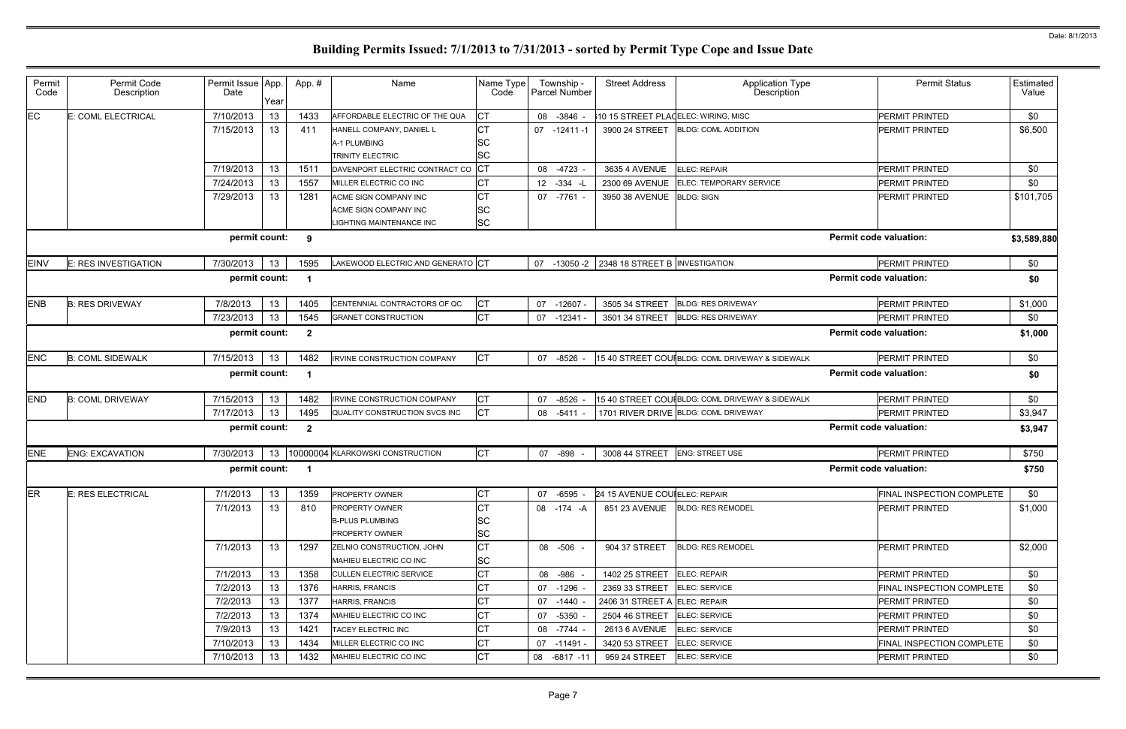| <b>Permit Status</b>                        | Estimated<br>Value |
|---------------------------------------------|--------------------|
| PERMIT PRINTED                              | \$0                |
| PERMIT PRINTED                              | \$6,500            |
| PERMIT PRINTED                              | \$0                |
| PERMIT PRINTED                              | \$0                |
| PERMIT PRINTED                              | \$101,705          |
| <b>Permit code valuation:</b>               | \$3,589,880        |
| PERMIT PRINTED                              | \$0                |
| <b>Permit code valuation:</b>               | \$0                |
| PERMIT PRINTED                              | \$1,000            |
| PERMIT PRINTED                              | \$0                |
| <b>Permit code valuation:</b>               | \$1,000            |
| <b>PERMIT PRINTED</b>                       | \$0                |
| <b>Permit code valuation:</b>               | \$0                |
| PERMIT PRINTED                              | \$0                |
| PERMIT PRINTED                              | \$3,947            |
| <b>Permit code valuation:</b>               | \$3,947            |
| <b>PERMIT PRINTED</b>                       | \$750              |
| <b>Permit code valuation:</b>               | \$750              |
| FINAL INSPECTION COMPLETE                   | \$0                |
| PERMIT PRINTED                              | \$1,000            |
|                                             | \$2,000            |
| PERMIT PRINTED                              |                    |
| PERMIT PRINTED                              | \$0                |
| <b>FINAL INSPECTION COMPLETE</b>            | \$0                |
| PERMIT PRINTED                              | \$0                |
| PERMIT PRINTED                              | \$0                |
| PERMIT PRINTED                              | \$0                |
| FINAL INSPECTION COMPLETE<br>PERMIT PRINTED | \$0<br>\$0         |

| Permit<br>Code | Permit Code<br>Description  | Permit Issue App.<br>Date | Year | App.#                   | Name                                                                       | Name Type<br>Code     | Township -<br>Parcel Number   | <b>Street Address</b>                       | <b>Application Type</b><br>Description           | <b>Permit Status</b>          | Estimated<br>Value |
|----------------|-----------------------------|---------------------------|------|-------------------------|----------------------------------------------------------------------------|-----------------------|-------------------------------|---------------------------------------------|--------------------------------------------------|-------------------------------|--------------------|
| EC             | E: COML ELECTRICAL          | 7/10/2013                 | 13   | 1433                    | AFFORDABLE ELECTRIC OF THE QUA                                             | <b>CT</b>             | 08<br>$-3846$                 |                                             | 10 15 STREET PLACELEC: WIRING, MISC              | <b>PERMIT PRINTED</b>         | \$0                |
|                |                             | 7/15/2013                 | 13   | 411                     | HANELL COMPANY, DANIEL L<br>A-1 PLUMBING<br>TRINITY ELECTRIC               | СT<br>SC<br><b>SC</b> | $07 - 12411 - 1$              | 3900 24 STREET                              | <b>BLDG: COML ADDITION</b>                       | <b>PERMIT PRINTED</b>         | \$6,500            |
|                |                             | 7/19/2013                 | 13   | 1511                    | DAVENPORT ELECTRIC CONTRACT CO                                             | Iст                   | 08<br>-4723                   | 3635 4 AVENUE                               | <b>ELEC: REPAIR</b>                              | <b>PERMIT PRINTED</b>         | \$0                |
|                |                             | 7/24/2013                 | 13   | 1557                    | MILLER ELECTRIC CO INC                                                     |                       | 12 <sub>2</sub><br>$-334 - L$ | 2300 69 AVENUE                              | ELEC: TEMPORARY SERVICE                          | <b>PERMIT PRINTED</b>         | \$0                |
|                |                             | 7/29/2013                 | 13   | 1281                    | ACME SIGN COMPANY INC<br>ACME SIGN COMPANY INC<br>LIGHTING MAINTENANCE INC | SC<br><b>SC</b>       | 07<br>-7761 -                 | 3950 38 AVENUE                              | <b>BLDG: SIGN</b>                                | PERMIT PRINTED                | \$101,705          |
|                |                             | permit count:             |      | 9                       |                                                                            |                       |                               |                                             |                                                  | <b>Permit code valuation:</b> | \$3,589,880        |
| <b>EINV</b>    | <b>E: RES INVESTIGATION</b> | 7/30/2013                 | 13   | 1595                    | LAKEWOOD ELECTRIC AND GENERATO CT                                          |                       |                               | 07 -13050 -2 2348 18 STREET B INVESTIGATION |                                                  | PERMIT PRINTED                | \$0                |
|                |                             | permit count:             |      | -1                      |                                                                            |                       |                               |                                             |                                                  | <b>Permit code valuation:</b> | \$0                |
| <b>ENB</b>     | <b>B: RES DRIVEWAY</b>      | 7/8/2013                  | 13   | 1405                    | CENTENNIAL CONTRACTORS OF QC                                               | <b>CT</b>             | 07<br>$-12607$                | 3505 34 STREET                              | <b>BLDG: RES DRIVEWAY</b>                        | <b>PERMIT PRINTED</b>         | \$1,000            |
|                |                             | 7/23/2013                 | 13   | 1545                    | <b>GRANET CONSTRUCTION</b>                                                 | <b>CT</b>             | 07<br>$-12341$                | 3501 34 STREET                              | <b>BLDG: RES DRIVEWAY</b>                        | PERMIT PRINTED                | \$0                |
|                |                             | permit count:             |      | $\overline{\mathbf{2}}$ |                                                                            |                       |                               |                                             |                                                  | <b>Permit code valuation:</b> | \$1,000            |
| <b>ENC</b>     | <b>B: COML SIDEWALK</b>     | 7/15/2013                 | 13   | 1482                    | IRVINE CONSTRUCTION COMPANY                                                | СT                    | 07<br>$-8526$                 |                                             | 15 40 STREET COUIBLDG: COML DRIVEWAY & SIDEWALK  | PERMIT PRINTED                | \$0                |
|                |                             | permit count:             |      | -1                      |                                                                            |                       |                               |                                             |                                                  | <b>Permit code valuation:</b> | \$0                |
| <b>END</b>     | <b>B: COML DRIVEWAY</b>     | 7/15/2013                 | 13   | 1482                    | IRVINE CONSTRUCTION COMPANY                                                | <b>CT</b>             | $-8526$<br>07                 |                                             | 15 40 STREET COUI BLDG: COML DRIVEWAY & SIDEWALK | <b>PERMIT PRINTED</b>         | \$0                |
|                |                             | 7/17/2013                 | 13   | 1495                    | QUALITY CONSTRUCTION SVCS INC                                              | <b>CT</b>             | 08 -5411                      |                                             | 1701 RIVER DRIVE BLDG: COML DRIVEWAY             | PERMIT PRINTED                | \$3,947            |
|                |                             | permit count:             |      | $\mathbf{2}$            |                                                                            |                       |                               |                                             |                                                  | <b>Permit code valuation:</b> | \$3,947            |
| <b>ENE</b>     | <b>ENG: EXCAVATION</b>      | 7/30/2013                 | 13   |                         | 10000004 KLARKOWSKI CONSTRUCTION                                           | <b>CT</b>             | 07 -898                       | 3008 44 STREET                              | <b>ENG: STREET USE</b>                           | PERMIT PRINTED                | \$750              |
|                |                             | permit count:             |      | -1                      |                                                                            |                       |                               |                                             |                                                  | <b>Permit code valuation:</b> | \$750              |
| ER             | <b>E: RES ELECTRICAL</b>    | 7/1/2013                  | 13   | 1359                    | <b>PROPERTY OWNER</b>                                                      | СT                    | 07 -6595 -                    | 24 15 AVENUE COUIELEC: REPAIR               |                                                  | FINAL INSPECTION COMPLETE     | \$0                |
|                |                             | 7/1/2013                  | 13   | 810                     | <b>PROPERTY OWNER</b><br><b>B-PLUS PLUMBING</b><br><b>PROPERTY OWNER</b>   | СT<br>SC<br><b>SC</b> | 08 -174 -A                    |                                             | 851 23 AVENUE BLDG: RES REMODEL                  | PERMIT PRINTED                | \$1,000            |
|                |                             | 7/1/2013                  | 13   | 1297                    | ZELNIO CONSTRUCTION, JOHN<br><b>MAHIEU ELECTRIC CO INC</b>                 | СT<br><b>SC</b>       | 08 - 506 -                    | 904 37 STREET                               | <b>BLDG: RES REMODEL</b>                         | PERMIT PRINTED                | \$2,000            |
|                |                             | 7/1/2013                  | 13   | 1358                    | <b>CULLEN ELECTRIC SERVICE</b>                                             | СT                    | 08 - 986 -                    | 1402 25 STREET ELEC: REPAIR                 |                                                  | PERMIT PRINTED                | \$0                |
|                |                             | 7/2/2013                  | 13   | 1376                    | <b>HARRIS, FRANCIS</b>                                                     | СT                    | 07 -1296 -                    | 2369 33 STREET                              | ELEC: SERVICE                                    | FINAL INSPECTION COMPLETE     | \$0                |
|                |                             | 7/2/2013                  | 13   | 1377                    | <b>HARRIS, FRANCIS</b>                                                     | СT                    | 07<br>-1440 -                 | 2406 31 STREET A ELEC: REPAIR               |                                                  | PERMIT PRINTED                | \$0                |
|                |                             | 7/2/2013                  | 13   | 1374                    | MAHIEU ELECTRIC CO INC                                                     | СT                    | -5350 -<br>07                 | 2504 46 STREET                              | ELEC: SERVICE                                    | PERMIT PRINTED                | \$0                |
|                |                             | 7/9/2013                  | 13   | 1421                    | TACEY ELECTRIC INC                                                         | СT                    | -7744 -<br>08                 | 2613 6 AVENUE                               | <b>ELEC: SERVICE</b>                             | PERMIT PRINTED                | \$0                |
|                |                             | 7/10/2013                 | 13   | 1434                    | MILLER ELECTRIC CO INC                                                     | СT                    | 07 -11491 -                   | 3420 53 STREET                              | <b>ELEC: SERVICE</b>                             | FINAL INSPECTION COMPLETE     | \$0                |
|                |                             | 7/10/2013                 | 13   | 1432                    | MAHIEU ELECTRIC CO INC                                                     | СT                    | 08 -6817 -11                  | 959 24 STREET                               | ELEC: SERVICE                                    | PERMIT PRINTED                | \$0                |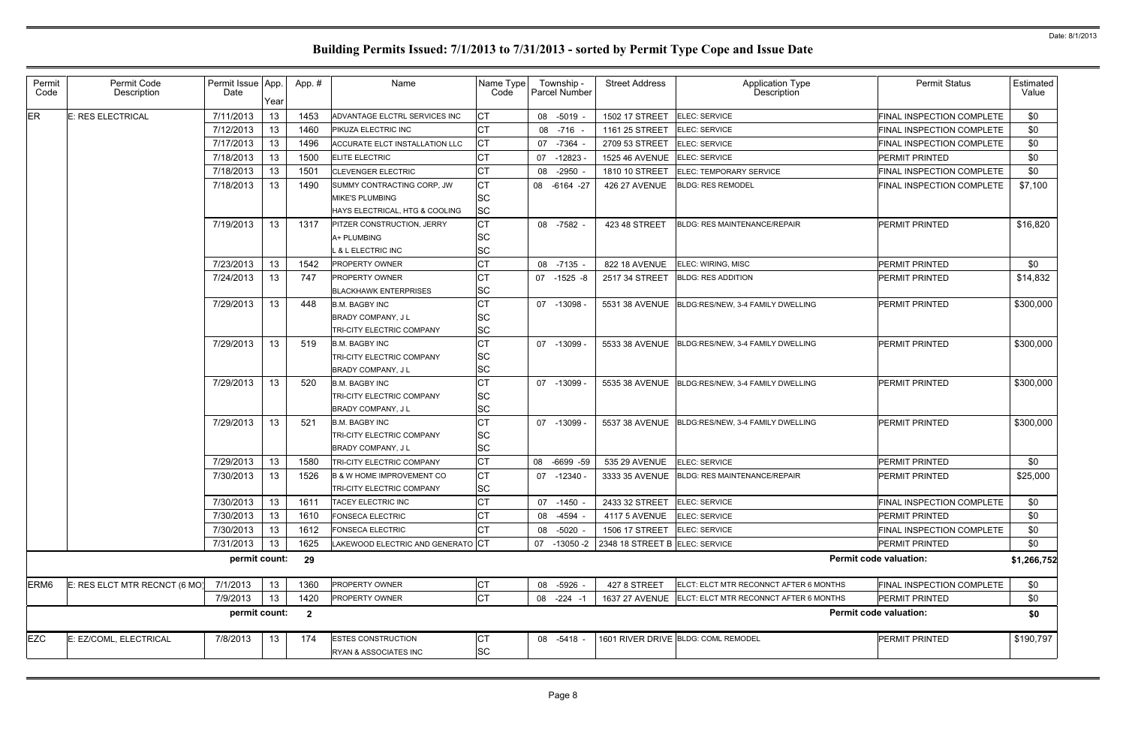| Permit<br>Code   | Permit Code<br>Description    | Permit Issue App.<br>Date | Year            | App.#                   | Name                                 | Name Type<br>Code |    | Township -<br>Parcel Number | <b>Street Address</b>          | <b>Application Type</b><br>Description           | <b>Permit Status</b>          | Estimated<br>Value |
|------------------|-------------------------------|---------------------------|-----------------|-------------------------|--------------------------------------|-------------------|----|-----------------------------|--------------------------------|--------------------------------------------------|-------------------------------|--------------------|
| <b>ER</b>        | E: RES ELECTRICAL             | 7/11/2013                 | 13              | 1453                    | ADVANTAGE ELCTRL SERVICES INC        | СT                | 08 | $-5019$                     | 1502 17 STREET                 | ELEC: SERVICE                                    | FINAL INSPECTION COMPLETE     | \$0                |
|                  |                               | 7/12/2013                 | 13              | 1460                    | PIKUZA ELECTRIC INC                  | <b>CT</b>         | 08 | -716                        | 1161 25 STREET                 | ELEC: SERVICE                                    | FINAL INSPECTION COMPLETE     | \$0                |
|                  |                               | 7/17/2013                 | 13              | 1496                    | ACCURATE ELCT INSTALLATION LLC       | <b>CT</b>         | 07 | $-7364$                     | 2709 53 STREET                 | <b>ELEC: SERVICE</b>                             | FINAL INSPECTION COMPLETE     | \$0                |
|                  |                               | 7/18/2013                 | 13              | 1500                    | <b>ELITE ELECTRIC</b>                | СT                | 07 | $-12823$                    | 1525 46 AVENUE                 | <b>ELEC: SERVICE</b>                             | PERMIT PRINTED                | \$0                |
|                  |                               | 7/18/2013                 | 13              | 1501                    | <b>CLEVENGER ELECTRIC</b>            | <b>CT</b>         | 08 | $-2950$                     | 1810 10 STREET                 | ELEC: TEMPORARY SERVICE                          | FINAL INSPECTION COMPLETE     | \$0                |
|                  |                               | 7/18/2013                 | 13              | 1490                    | SUMMY CONTRACTING CORP, JW           | <b>CT</b>         |    | 08 -6164 -27                | <b>426 27 AVENUE</b>           | <b>BLDG: RES REMODEL</b>                         | FINAL INSPECTION COMPLETE     | \$7,100            |
|                  |                               |                           |                 |                         | <b>MIKE'S PLUMBING</b>               | lSC               |    |                             |                                |                                                  |                               |                    |
|                  |                               |                           |                 |                         | HAYS ELECTRICAL, HTG & COOLING       | <b>SC</b>         |    |                             |                                |                                                  |                               |                    |
|                  |                               | 7/19/2013                 | 13 <sup>7</sup> | 1317                    | PITZER CONSTRUCTION, JERRY           | СT                |    | 08 -7582 -                  | 423 48 STREET                  | <b>BLDG: RES MAINTENANCE/REPAIR</b>              | PERMIT PRINTED                | \$16,820           |
|                  |                               |                           |                 |                         | A+ PLUMBING                          | SC                |    |                             |                                |                                                  |                               |                    |
|                  |                               |                           |                 |                         | <b>8 L ELECTRIC INC</b>              | <b>SC</b>         |    |                             |                                |                                                  |                               |                    |
|                  |                               | 7/23/2013                 | 13              | 1542                    | <b>PROPERTY OWNER</b>                | СT                | 08 | $-7135$                     | 822 18 AVENUE                  | ELEC: WIRING, MISC                               | PERMIT PRINTED                | \$0                |
|                  |                               | 7/24/2013                 | 13 <sup>°</sup> | 747                     | <b>PROPERTY OWNER</b>                | СT                |    | 07 -1525 -8                 | 2517 34 STREET                 | <b>BLDG: RES ADDITION</b>                        | PERMIT PRINTED                | \$14,832           |
|                  |                               |                           |                 |                         | <b>BLACKHAWK ENTERPRISES</b>         | SC                |    |                             |                                |                                                  |                               |                    |
|                  |                               | 7/29/2013                 | 13              | 448                     | <b>B.M. BAGBY INC</b>                | СT                |    | 07 -13098 -                 | 5531 38 AVENUE                 | BLDG:RES/NEW. 3-4 FAMILY DWELLING                | <b>PERMIT PRINTED</b>         | \$300,000          |
|                  |                               |                           |                 |                         | <b>BRADY COMPANY, JL</b>             | SC                |    |                             |                                |                                                  |                               |                    |
|                  |                               |                           |                 |                         | TRI-CITY ELECTRIC COMPANY            | <b>SC</b>         |    |                             |                                |                                                  |                               |                    |
|                  |                               | 7/29/2013                 | 13 <sup>7</sup> | 519                     | <b>B.M. BAGBY INC</b>                | СT                | 07 | -13099 -                    | 5533 38 AVENUE                 | BLDG:RES/NEW, 3-4 FAMILY DWELLING                | <b>PERMIT PRINTED</b>         | \$300,000          |
|                  |                               |                           |                 |                         | TRI-CITY ELECTRIC COMPANY            | SC                |    |                             |                                |                                                  |                               |                    |
|                  |                               |                           |                 |                         | <b>BRADY COMPANY, JL</b>             | <b>SC</b>         |    |                             |                                |                                                  |                               |                    |
|                  |                               | 7/29/2013                 | 13 <sup>7</sup> | 520                     | <b>B.M. BAGBY INC</b>                | СT                |    | 07 -13099 -                 | 5535 38 AVENUE                 | BLDG:RES/NEW, 3-4 FAMILY DWELLING                | PERMIT PRINTED                | \$300,000          |
|                  |                               |                           |                 |                         | TRI-CITY ELECTRIC COMPANY            | <b>SC</b>         |    |                             |                                |                                                  |                               |                    |
|                  |                               |                           |                 |                         | BRADY COMPANY, J L                   | <b>SC</b>         |    |                             |                                |                                                  |                               |                    |
|                  |                               | 7/29/2013                 | 13 <sup>7</sup> | 521                     | <b>B.M. BAGBY INC</b>                | СT                | 07 | $-13099$                    |                                | 5537 38 AVENUE BLDG:RES/NEW, 3-4 FAMILY DWELLING | PERMIT PRINTED                | \$300,000          |
|                  |                               |                           |                 |                         | TRI-CITY ELECTRIC COMPANY            | SС                |    |                             |                                |                                                  |                               |                    |
|                  |                               |                           |                 |                         | <b>BRADY COMPANY, JL</b>             | <b>SC</b>         |    |                             |                                |                                                  |                               |                    |
|                  |                               | 7/29/2013                 | 13              | 1580                    | TRI-CITY ELECTRIC COMPANY            | <b>CT</b>         |    | 08 -6699 -59                | 535 29 AVENUE                  | ELEC: SERVICE                                    | PERMIT PRINTED                | \$0                |
|                  |                               | 7/30/2013                 | 13              | 1526                    | <b>B &amp; W HOME IMPROVEMENT CO</b> | СT                |    | 07 -12340 -                 |                                | 3333 35 AVENUE   BLDG: RES MAINTENANCE/REPAIR    | PERMIT PRINTED                | \$25,000           |
|                  |                               |                           |                 |                         | <b>TRI-CITY ELECTRIC COMPANY</b>     | ΙSC               |    |                             |                                |                                                  |                               |                    |
|                  |                               | 7/30/2013                 | 13              | 1611                    | TACEY ELECTRIC INC                   | <b>CT</b>         | 07 | $-1450$                     | 2433 32 STREET                 | ELEC: SERVICE                                    | FINAL INSPECTION COMPLETE     | \$0                |
|                  |                               | 7/30/2013                 | 13              | 1610                    | FONSECA ELECTRIC                     | CT                | 08 | -4594                       | <b>4117 5 AVENUE</b>           | ELEC: SERVICE                                    | PERMIT PRINTED                | \$0                |
|                  |                               | 7/30/2013                 | 13              | 1612                    | <b>FONSECA ELECTRIC</b>              | <b>CT</b>         | 08 | $-5020$                     | 1506 17 STREET                 | ELEC: SERVICE                                    | FINAL INSPECTION COMPLETE     | \$0                |
|                  |                               | 7/31/2013                 | 13              | 1625                    | LAKEWOOD ELECTRIC AND GENERATO CT    |                   |    | 07 -13050 -2                | 2348 18 STREET B ELEC: SERVICE |                                                  | PERMIT PRINTED                | \$0                |
|                  |                               | permit count:             |                 | 29                      |                                      |                   |    |                             |                                |                                                  | <b>Permit code valuation:</b> | \$1,266,752        |
| ERM <sub>6</sub> | E: RES ELCT MTR RECNCT (6 MO) | 7/1/2013                  | 13              | 1360                    | PROPERTY OWNER                       | CТ                |    | 08 -5926                    | 427 8 STREET                   | ELCT: ELCT MTR RECONNCT AFTER 6 MONTHS           | FINAL INSPECTION COMPLETE     | \$0                |
|                  |                               | 7/9/2013                  | 13              | 1420                    | PROPERTY OWNER                       | <b>CT</b>         |    | 08 -224 -1                  | <b>1637 27 AVENUE</b>          | ELCT: ELCT MTR RECONNCT AFTER 6 MONTHS           | PERMIT PRINTED                | \$0                |
|                  |                               | permit count:             |                 | $\overline{\mathbf{2}}$ |                                      |                   |    |                             |                                |                                                  | <b>Permit code valuation:</b> | \$0                |
| <b>EZC</b>       | E: EZ/COML, ELECTRICAL        | 7/8/2013                  | 13              | 174                     | <b>ESTES CONSTRUCTION</b>            | СT                |    | 08 -5418 -                  |                                | 1601 RIVER DRIVE BLDG: COML REMODEL              | PERMIT PRINTED                | \$190,797          |
|                  |                               |                           |                 |                         | RYAN & ASSOCIATES INC                | <b>SC</b>         |    |                             |                                |                                                  |                               |                    |
|                  |                               |                           |                 |                         |                                      |                   |    |                             |                                |                                                  |                               |                    |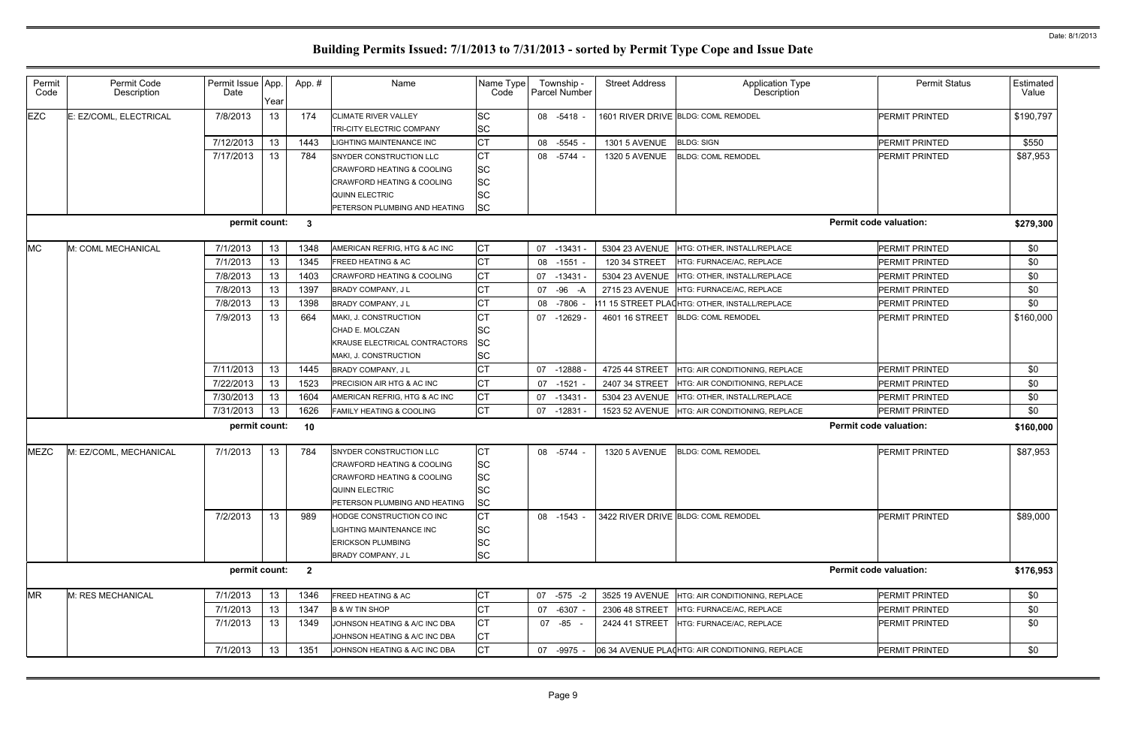| <b>Permit Status</b>          | Estimated<br>Value |
|-------------------------------|--------------------|
| PERMIT PRINTED                | \$190,797          |
| PERMIT PRINTED                | \$550              |
| PERMIT PRINTED                | \$87,953           |
| <b>Permit code valuation:</b> | \$279,300          |
| PERMIT PRINTED                | \$0                |
| PERMIT PRINTED                | \$0                |
| PERMIT PRINTED                | \$0                |
| PERMIT PRINTED                | \$0                |
| PERMIT PRINTED                | \$0                |
| PERMIT PRINTED                | \$160,000          |
| PERMIT PRINTED                | \$0                |
| PERMIT PRINTED                | \$0                |
| PERMIT PRINTED                | \$0                |
| <b>PERMIT PRINTED</b>         | \$0                |
| <b>Permit code valuation:</b> | \$160,000          |
| PERMIT PRINTED                | \$87,953           |
| PERMIT PRINTED                | \$89,000           |
| <b>Permit code valuation:</b> | \$176,953          |
| PERMIT PRINTED                | \$0                |
| PERMIT PRINTED                | \$0                |
| PERMIT PRINTED                | \$0                |
| PERMIT PRINTED                | \$0                |
|                               |                    |

| Permit<br>Code | Permit Code<br>Description | Permit Issue App.<br>Date | Year | App. #                  | Name                                  | Name Type<br>Code | Township -<br>Parcel Number | <b>Street Address</b> | <b>Application Type</b><br>Description                     | <b>Permit Status</b>          | Estimated<br>Value |
|----------------|----------------------------|---------------------------|------|-------------------------|---------------------------------------|-------------------|-----------------------------|-----------------------|------------------------------------------------------------|-------------------------------|--------------------|
| <b>EZC</b>     | E: EZ/COML, ELECTRICAL     | 7/8/2013                  | 13   | 174                     | <b>CLIMATE RIVER VALLEY</b>           | <b>SC</b>         | 08 -5418 -                  |                       | 1601 RIVER DRIVE BLDG: COML REMODEL                        | <b>PERMIT PRINTED</b>         | \$190,797          |
|                |                            |                           |      |                         | TRI-CITY ELECTRIC COMPANY             | <b>SC</b>         |                             |                       |                                                            |                               |                    |
|                |                            | 7/12/2013                 | 13   | 1443                    | <b>LIGHTING MAINTENANCE INC</b>       | <b>CT</b>         | 08<br>-5545 -               | <b>1301 5 AVENUE</b>  | <b>BLDG: SIGN</b>                                          | <b>PERMIT PRINTED</b>         | \$550              |
|                |                            | 7/17/2013                 | 13   | 784                     | SNYDER CONSTRUCTION LLC               | <b>CT</b>         | 08 - 5744 -                 | <b>1320 5 AVENUE</b>  | <b>BLDG: COML REMODEL</b>                                  | <b>PERMIT PRINTED</b>         | \$87,953           |
|                |                            |                           |      |                         | <b>CRAWFORD HEATING &amp; COOLING</b> | <b>SC</b>         |                             |                       |                                                            |                               |                    |
|                |                            |                           |      |                         | <b>CRAWFORD HEATING &amp; COOLING</b> | <b>SC</b>         |                             |                       |                                                            |                               |                    |
|                |                            |                           |      |                         | <b>QUINN ELECTRIC</b>                 | <b>SC</b>         |                             |                       |                                                            |                               |                    |
|                |                            |                           |      |                         | PETERSON PLUMBING AND HEATING         | <b>SC</b>         |                             |                       |                                                            |                               |                    |
|                |                            | permit count:             |      | $\overline{\mathbf{3}}$ |                                       |                   |                             |                       |                                                            | <b>Permit code valuation:</b> | \$279,300          |
| <b>MC</b>      | M: COML MECHANICAL         | 7/1/2013                  | 13   | 1348                    | AMERICAN REFRIG, HTG & AC INC         | <b>CT</b>         | 07<br>-13431 -              | 5304 23 AVENUE        | HTG: OTHER, INSTALL/REPLACE                                | PERMIT PRINTED                | \$0                |
|                |                            | 7/1/2013                  | 13   | 1345                    | <b>FREED HEATING &amp; AC</b>         | <b>CT</b>         | $-1551 -$<br>08             | 120 34 STREET         | HTG: FURNACE/AC, REPLACE                                   | <b>PERMIT PRINTED</b>         | \$0                |
|                |                            | 7/8/2013                  | 13   | 1403                    | <b>CRAWFORD HEATING &amp; COOLING</b> | <b>CT</b>         | 07<br>$-13431 -$            | 5304 23 AVENUE        | HTG: OTHER. INSTALL/REPLACE                                | PERMIT PRINTED                | \$0                |
|                |                            | 7/8/2013                  | 13   | 1397                    | BRADY COMPANY, J L                    | <b>CT</b>         | 07<br>$-96$<br>-A           | 2715 23 AVENUE        | HTG: FURNACE/AC, REPLACE                                   | PERMIT PRINTED                | \$0                |
|                |                            | 7/8/2013                  | 13   | 1398                    | BRADY COMPANY, J L                    | <b>CT</b>         | -7806<br>08                 |                       | 11 15 STREET PLA(HTG: OTHER, INSTALL/REPLACE               | PERMIT PRINTED                | \$0                |
|                |                            | 7/9/2013                  | 13   | 664                     | MAKI, J. CONSTRUCTION                 | <b>CT</b>         | -12629 -<br>07              | 4601 16 STREET        | <b>BLDG: COML REMODEL</b>                                  | PERMIT PRINTED                | \$160,000          |
|                |                            |                           |      |                         | CHAD E. MOLCZAN                       | <b>SC</b>         |                             |                       |                                                            |                               |                    |
|                |                            |                           |      |                         | KRAUSE ELECTRICAL CONTRACTORS         | <b>SC</b>         |                             |                       |                                                            |                               |                    |
|                |                            |                           |      |                         | MAKI, J. CONSTRUCTION                 | <b>SC</b>         |                             |                       |                                                            |                               |                    |
|                |                            | 7/11/2013                 | 13   | 1445                    | <b>BRADY COMPANY, JL</b>              | <b>CT</b>         | 07<br>$-12888 -$            | 4725 44 STREET        | HTG: AIR CONDITIONING, REPLACE                             | <b>PERMIT PRINTED</b>         | \$0                |
|                |                            | 7/22/2013                 | 13   | 1523                    | PRECISION AIR HTG & AC INC            | <b>CT</b>         | 07<br>$-1521$               | 2407 34 STREET        | HTG: AIR CONDITIONING, REPLACE                             | <b>PERMIT PRINTED</b>         | \$0                |
|                |                            | 7/30/2013                 | 13   | 1604                    | AMERICAN REFRIG, HTG & AC INC         | <b>CT</b>         | 07<br>$-13431 -$            | 5304 23 AVENUE        | HTG: OTHER, INSTALL/REPLACE                                | PERMIT PRINTED                | \$0                |
|                |                            | 7/31/2013                 | 13   | 1626                    | FAMILY HEATING & COOLING              | <b>CT</b>         | $-12831 -$<br>07            | 1523 52 AVENUE        | HTG: AIR CONDITIONING, REPLACE                             | PERMIT PRINTED                | \$0                |
|                |                            | permit count:             |      | 10                      |                                       |                   |                             |                       |                                                            | <b>Permit code valuation:</b> | \$160,000          |
| <b>MEZC</b>    | M: EZ/COML, MECHANICAL     | 7/1/2013                  | 13   | 784                     | SNYDER CONSTRUCTION LLC               | <b>CT</b>         | 08 - 5744 -                 | <b>1320 5 AVENUE</b>  | <b>BLDG: COML REMODEL</b>                                  | PERMIT PRINTED                | \$87,953           |
|                |                            |                           |      |                         | <b>CRAWFORD HEATING &amp; COOLING</b> | <b>SC</b>         |                             |                       |                                                            |                               |                    |
|                |                            |                           |      |                         | CRAWFORD HEATING & COOLING            | <b>SC</b>         |                             |                       |                                                            |                               |                    |
|                |                            |                           |      |                         | <b>QUINN ELECTRIC</b>                 | <b>SC</b>         |                             |                       |                                                            |                               |                    |
|                |                            |                           |      |                         | PETERSON PLUMBING AND HEATING         | <b>SC</b>         |                             |                       |                                                            |                               |                    |
|                |                            | 7/2/2013                  | 13   | 989                     | HODGE CONSTRUCTION CO INC             | <b>CT</b>         | 08 -1543 -                  |                       | 3422 RIVER DRIVE BLDG: COML REMODEL                        | <b>PERMIT PRINTED</b>         | \$89,000           |
|                |                            |                           |      |                         | LIGHTING MAINTENANCE INC              | <b>SC</b>         |                             |                       |                                                            |                               |                    |
|                |                            |                           |      |                         | <b>ERICKSON PLUMBING</b>              | <b>SC</b>         |                             |                       |                                                            |                               |                    |
|                |                            |                           |      |                         | BRADY COMPANY, J L                    | <b>SC</b>         |                             |                       |                                                            |                               |                    |
|                |                            | permit count:             |      | $\overline{\mathbf{2}}$ |                                       |                   |                             |                       |                                                            | <b>Permit code valuation:</b> | \$176,953          |
| <b>MR</b>      | M: RES MECHANICAL          | 7/1/2013                  | 13   | 1346                    | FREED HEATING & AC                    | <b>CT</b>         | $-575 - 2$<br>07            | 3525 19 AVENUE        | HTG: AIR CONDITIONING, REPLACE                             | <b>PERMIT PRINTED</b>         | \$0                |
|                |                            | 7/1/2013                  | 13   | 1347                    | <b>B &amp; W TIN SHOP</b>             | <b>CT</b>         | 07<br>$-6307 -$             | 2306 48 STREET        | HTG: FURNACE/AC, REPLACE                                   | PERMIT PRINTED                | \$0                |
|                |                            | 7/1/2013                  | 13   | 1349                    | JOHNSON HEATING & A/C INC DBA         | <b>CT</b>         | 07 -85 -                    | 2424 41 STREET        | HTG: FURNACE/AC, REPLACE                                   | <b>PERMIT PRINTED</b>         | \$0                |
|                |                            |                           |      |                         | JOHNSON HEATING & A/C INC DBA         | <b>CT</b>         |                             |                       |                                                            |                               |                    |
|                |                            | 7/1/2013                  | 13   | 1351                    | JOHNSON HEATING & A/C INC DBA         | <b>CT</b>         |                             |                       | 07 -9975 - 06 34 AVENUE PLA(HTG: AIR CONDITIONING, REPLACE | PERMIT PRINTED                | \$0                |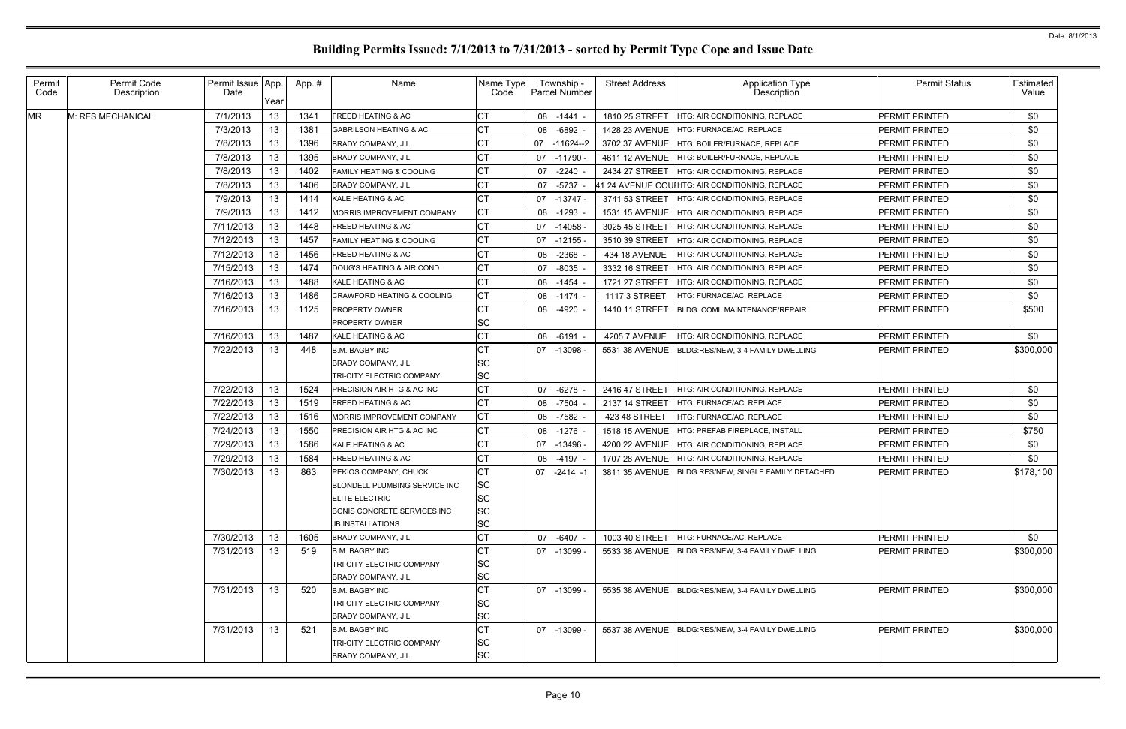| Permit<br>Code | Permit Code<br>Description | Permit Issue App.<br>Date | Year            | App. # | Name                                                                            | Name Type<br>Code     | Township -<br><b>Parcel Number</b> | <b>Street Address</b> | Application Type<br>Description                    | <b>Permit Status</b>  | Estimated<br>Value |
|----------------|----------------------------|---------------------------|-----------------|--------|---------------------------------------------------------------------------------|-----------------------|------------------------------------|-----------------------|----------------------------------------------------|-----------------------|--------------------|
| <b>MR</b>      | M: RES MECHANICAL          | 7/1/2013                  | 13              | 1341   | <b>FREED HEATING &amp; AC</b>                                                   | СT                    | 08 -1441 -                         | 1810 25 STREET        | HTG: AIR CONDITIONING, REPLACE                     | <b>PERMIT PRINTED</b> | \$0                |
|                |                            | 7/3/2013                  | 13              | 1381   | <b>GABRILSON HEATING &amp; AC</b>                                               | <b>CT</b>             | $-6892$<br>08                      | 1428 23 AVENUE        | HTG: FURNACE/AC, REPLACE                           | <b>PERMIT PRINTED</b> | \$0                |
|                |                            | 7/8/2013                  | 13              | 1396   | <b>BRADY COMPANY, JL</b>                                                        | <b>CT</b>             | $-11624-2$<br>07                   | 3702 37 AVENUE        | HTG: BOILER/FURNACE, REPLACE                       | PERMIT PRINTED        | \$0                |
|                |                            | 7/8/2013                  | 13              | 1395   | <b>BRADY COMPANY, JL</b>                                                        | <b>CT</b>             | $-11790$<br>07                     | 4611 12 AVENUE        | <b>HTG: BOILER/FURNACE, REPLACE</b>                | <b>PERMIT PRINTED</b> | \$0                |
|                |                            | 7/8/2013                  | 13              | 1402   | <b>FAMILY HEATING &amp; COOLING</b>                                             | <b>CT</b>             | $-2240$<br>07                      | 2434 27 STREET        | <b>HTG: AIR CONDITIONING. REPLACE</b>              | PERMIT PRINTED        | \$0                |
|                |                            | 7/8/2013                  | 13              | 1406   | <b>BRADY COMPANY, JL</b>                                                        | СT                    | $-5737$<br>07                      |                       | 41 24 AVENUE COUIHTG: AIR CONDITIONING, REPLACE    | PERMIT PRINTED        | \$0                |
|                |                            | 7/9/2013                  | 13              | 1414   | KALE HEATING & AC                                                               | СT                    | $-13747 -$<br>07                   | 3741 53 STREET        | <b>HTG: AIR CONDITIONING, REPLACE</b>              | PERMIT PRINTED        | \$0                |
|                |                            | 7/9/2013                  | 13              | 1412   | MORRIS IMPROVEMENT COMPANY                                                      | СT                    | $-1293$<br>08                      | 1531 15 AVENUE        | HTG: AIR CONDITIONING, REPLACE                     | <b>PERMIT PRINTED</b> | \$0                |
|                |                            | 7/11/2013                 | 13              | 1448   | <b>FREED HEATING &amp; AC</b>                                                   | СT                    | $-14058$<br>07                     | 3025 45 STREET        | HTG: AIR CONDITIONING, REPLACE                     | <b>PERMIT PRINTED</b> | \$0                |
|                |                            | 7/12/2013                 | 13              | 1457   | <b>FAMILY HEATING &amp; COOLING</b>                                             | СT                    | $-12155$<br>07                     | 3510 39 STREET        | HTG: AIR CONDITIONING, REPLACE                     | <b>PERMIT PRINTED</b> | \$0                |
|                |                            | 7/12/2013                 | 13              | 1456   | <b>FREED HEATING &amp; AC</b>                                                   | СT                    | $-2368$<br>08                      | 434 18 AVENUE         | HTG: AIR CONDITIONING, REPLACE                     | <b>PERMIT PRINTED</b> | \$0                |
|                |                            | 7/15/2013                 | 13              | 1474   | DOUG'S HEATING & AIR COND                                                       | СT                    | $-8035$<br>07                      | 3332 16 STREET        | HTG: AIR CONDITIONING, REPLACE                     | <b>PERMIT PRINTED</b> | \$0                |
|                |                            | 7/16/2013                 | 13              | 1488   | KALE HEATING & AC                                                               | СT                    | 08<br>-1454                        | 1721 27 STREET        | HTG: AIR CONDITIONING, REPLACE                     | <b>PERMIT PRINTED</b> | \$0                |
|                |                            | 7/16/2013                 | 13              | 1486   | <b>CRAWFORD HEATING &amp; COOLING</b>                                           | СT                    | $-1474$<br>08                      | 1117 3 STREET         | HTG: FURNACE/AC, REPLACE                           | <b>PERMIT PRINTED</b> | \$0                |
|                |                            | 7/16/2013                 | 13              | 1125   | <b>PROPERTY OWNER</b><br><b>PROPERTY OWNER</b>                                  | СT<br>SC              | -4920 -<br>08                      | 1410 11 STREET        | <b>BLDG: COML MAINTENANCE/REPAIR</b>               | <b>PERMIT PRINTED</b> | \$500              |
|                |                            | 7/16/2013                 | 13              | 1487   | KALE HEATING & AC                                                               | СT                    | 08 -6191 -                         | <b>4205 7 AVENUE</b>  | HTG: AIR CONDITIONING, REPLACE                     | PERMIT PRINTED        | \$0                |
|                |                            | 7/22/2013                 | 13 <sup>°</sup> | 448    | <b>B.M. BAGBY INC</b>                                                           | CТ                    | 07 -13098                          | 5531 38 AVENUE        | BLDG:RES/NEW, 3-4 FAMILY DWELLING                  | <b>PERMIT PRINTED</b> | \$300,000          |
|                |                            |                           |                 |        | <b>BRADY COMPANY, JL</b>                                                        | SC                    |                                    |                       |                                                    |                       |                    |
|                |                            |                           |                 |        | TRI-CITY ELECTRIC COMPANY                                                       | SC                    |                                    |                       |                                                    |                       |                    |
|                |                            | 7/22/2013                 | 13              | 1524   | PRECISION AIR HTG & AC INC                                                      | <b>CT</b>             | 07<br>$-6278$                      | 2416 47 STREET        | HTG: AIR CONDITIONING, REPLACE                     | <b>PERMIT PRINTED</b> | \$0                |
|                |                            | 7/22/2013                 | 13              | 1519   | <b>FREED HEATING &amp; AC</b>                                                   | CT                    | -7504<br>08                        | 2137 14 STREET        | HTG: FURNACE/AC, REPLACE                           | PERMIT PRINTED        | \$0                |
|                |                            | 7/22/2013                 | 13              | 1516   | MORRIS IMPROVEMENT COMPANY                                                      | <b>CT</b>             | -7582<br>08                        | 423 48 STREET         | HTG: FURNACE/AC, REPLACE                           | PERMIT PRINTED        | \$0                |
|                |                            | 7/24/2013                 | 13.             | 1550   | <b>PRECISION AIR HTG &amp; AC INC</b>                                           | <b>CT</b>             | $-1276$<br>08                      | <b>1518 15 AVENUE</b> | HTG: PREFAB FIREPLACE. INSTALL                     | PERMIT PRINTED        | \$750              |
|                |                            | 7/29/2013                 | 13              | 1586   | KALE HEATING & AC                                                               | СT                    | $-13496$<br>07                     | 4200 22 AVENUE        | HTG: AIR CONDITIONING, REPLACE                     | <b>PERMIT PRINTED</b> | \$0                |
|                |                            | 7/29/2013                 | 13.             | 1584   | FREED HEATING & AC                                                              |                       | 08<br>$-4197 -$                    | 1707 28 AVENUE        | HTG: AIR CONDITIONING, REPLACE                     | PERMIT PRINTED        | \$0                |
|                |                            | 7/30/2013                 | 13.             | 863    | PEKIOS COMPANY, CHUCK<br>BLONDELL PLUMBING SERVICE INC<br><b>ELITE ELECTRIC</b> | СT<br><b>SC</b><br>SC | 07<br>-2414 -1                     | 3811 35 AVENUE        | BLDG:RES/NEW, SINGLE FAMILY DETACHED               | PERMIT PRINTED        | \$178,100          |
|                |                            |                           |                 |        | BONIS CONCRETE SERVICES INC<br><b>JB INSTALLATIONS</b>                          | SC<br>SC              |                                    |                       |                                                    |                       |                    |
|                |                            | 7/30/2013                 | 13 <sup>7</sup> | 1605   | <b>BRADY COMPANY, JL</b>                                                        | СT                    | 07<br>-6407 -                      | 1003 40 STREET        | HTG: FURNACE/AC. REPLACE                           | PERMIT PRINTED        | \$0                |
|                |                            | 7/31/2013                 | 13              | 519    | <b>B.M. BAGBY INC</b><br>TRI-CITY ELECTRIC COMPANY                              | СT<br>SC              | 07 -13099 -                        |                       | 5533 38 AVENUE BLDG:RES/NEW. 3-4 FAMILY DWELLING   | PERMIT PRINTED        | \$300,000          |
|                |                            |                           |                 |        | <b>BRADY COMPANY, JL</b>                                                        | SC                    |                                    |                       |                                                    |                       |                    |
|                |                            | 7/31/2013                 | 13              | 520    | <b>B.M. BAGBY INC</b>                                                           | <b>CT</b>             | 07 -13099 -                        |                       | 5535 38 AVENUE   BLDG:RES/NEW, 3-4 FAMILY DWELLING | PERMIT PRINTED        | \$300,000          |
|                |                            |                           |                 |        | TRI-CITY ELECTRIC COMPANY                                                       | SC                    |                                    |                       |                                                    |                       |                    |
|                |                            |                           |                 |        | BRADY COMPANY, JL                                                               | SC                    |                                    |                       |                                                    |                       |                    |
|                |                            | 7/31/2013                 | 13              | 521    | <b>B.M. BAGBY INC</b>                                                           | СT                    | 07 -13099 -                        |                       | 5537 38 AVENUE BLDG:RES/NEW, 3-4 FAMILY DWELLING   | <b>PERMIT PRINTED</b> | \$300,000          |
|                |                            |                           |                 |        | TRI-CITY ELECTRIC COMPANY                                                       | SC                    |                                    |                       |                                                    |                       |                    |
|                |                            |                           |                 |        | BRADY COMPANY, J L                                                              | <b>SC</b>             |                                    |                       |                                                    |                       |                    |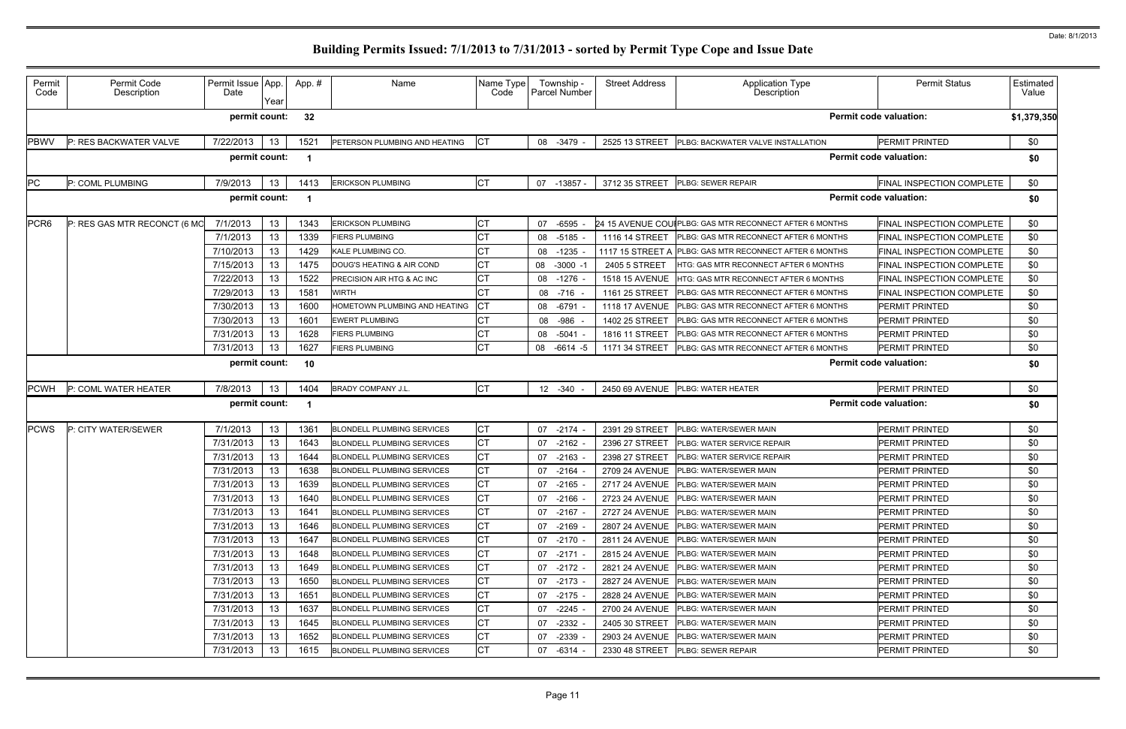| Permit<br>Code   | Permit Code<br>Description   | Permit Issue App.<br>Date | Year | App.# | Name                                         | Name Type<br>Code | Township -<br><b>Parcel Number</b> | <b>Street Address</b> | <b>Application Type</b><br>Description                  | <b>Permit Status</b>             | Estimated<br>Value |  |
|------------------|------------------------------|---------------------------|------|-------|----------------------------------------------|-------------------|------------------------------------|-----------------------|---------------------------------------------------------|----------------------------------|--------------------|--|
|                  |                              | permit count:             |      | 32    | <b>Permit code valuation:</b><br>\$1,379,350 |                   |                                    |                       |                                                         |                                  |                    |  |
| <b>PBWV</b>      | P: RES BACKWATER VALVE       | 7/22/2013                 | 13   | 1521  | PETERSON PLUMBING AND HEATING                | IСТ               | 08 -3479                           | 2525 13 STREET        | PLBG: BACKWATER VALVE INSTALLATION                      | PERMIT PRINTED                   | \$0                |  |
|                  |                              | permit count:             |      |       |                                              |                   |                                    |                       |                                                         | <b>Permit code valuation:</b>    | \$0                |  |
| PC               | P: COML PLUMBING             | 7/9/2013                  | 13   | 1413  | <b>ERICKSON PLUMBING</b>                     | <b>CT</b>         | 07 -13857 -                        | 3712 35 STREET        | PLBG: SEWER REPAIR                                      | FINAL INSPECTION COMPLETE        | \$0                |  |
|                  |                              | permit count:             |      |       |                                              |                   |                                    |                       |                                                         | <b>Permit code valuation:</b>    | \$0                |  |
| PCR <sub>6</sub> | P: RES GAS MTR RECONCT (6 MO | 7/1/2013                  | 13   | 1343  | <b>ERICKSON PLUMBING</b>                     | <b>CT</b>         | 07 -6595                           |                       | 24 15 AVENUE COUIPLBG: GAS MTR RECONNECT AFTER 6 MONTHS | FINAL INSPECTION COMPLETE        | \$0                |  |
|                  |                              | 7/1/2013                  | 13   | 1339  | <b>FIERS PLUMBING</b>                        |                   | 08 -5185                           | 1116 14 STREET        | PLBG: GAS MTR RECONNECT AFTER 6 MONTHS                  | FINAL INSPECTION COMPLETE        | \$0                |  |
|                  |                              | 7/10/2013                 | 13   | 1429  | <b>KALE PLUMBING CO.</b>                     |                   | 08 -1235                           | 1117 15 STREET A      | PLBG: GAS MTR RECONNECT AFTER 6 MONTHS                  | FINAL INSPECTION COMPLETE        | \$0                |  |
|                  |                              | 7/15/2013                 | 13   | 1475  | DOUG'S HEATING & AIR COND                    |                   | 08 -3000 -1                        | 2405 5 STREET         | <b>HTG: GAS MTR RECONNECT AFTER 6 MONTHS</b>            | FINAL INSPECTION COMPLETE        | \$0                |  |
|                  |                              | 7/22/2013                 | 13   | 1522  | PRECISION AIR HTG & AC INC                   | СT                | 08 -1276                           | 1518 15 AVENUE        | HTG: GAS MTR RECONNECT AFTER 6 MONTHS                   | <b>FINAL INSPECTION COMPLETE</b> | \$0                |  |
|                  |                              | 7/29/2013                 | 13   | 1581  | <b>WIRTH</b>                                 |                   | 08 -716                            | 1161 25 STREET        | PLBG: GAS MTR RECONNECT AFTER 6 MONTHS                  | FINAL INSPECTION COMPLETE        | \$0                |  |
|                  |                              | 7/30/2013                 | 13   | 1600  | HOMETOWN PLUMBING AND HEATING                | СT                | 08 -6791                           | 1118 17 AVENUE        | PLBG: GAS MTR RECONNECT AFTER 6 MONTHS                  | PERMIT PRINTED                   | \$0                |  |
|                  |                              | 7/30/2013                 | 13   | 1601  | <b>EWERT PLUMBING</b>                        |                   | -986<br>08                         | 1402 25 STREET        | PLBG: GAS MTR RECONNECT AFTER 6 MONTHS                  | PERMIT PRINTED                   | \$0                |  |
|                  |                              | 7/31/2013                 | 13   | 1628  | <b>FIERS PLUMBING</b>                        |                   | 08 -5041                           | 1816 11 STREET        | PLBG: GAS MTR RECONNECT AFTER 6 MONTHS                  | PERMIT PRINTED                   | \$0                |  |
|                  |                              | 7/31/2013                 | 13   | 1627  | <b>FIERS PLUMBING</b>                        | <b>CT</b>         | 08 -6614 -5                        | 1171 34 STREET        | PLBG: GAS MTR RECONNECT AFTER 6 MONTHS                  | PERMIT PRINTED                   | \$0                |  |
|                  |                              | permit count:             |      | 10    |                                              |                   |                                    |                       |                                                         | <b>Permit code valuation:</b>    | \$0                |  |
| <b>PCWH</b>      | P: COML WATER HEATER         | 7/8/2013                  | 13   | 1404  | <b>BRADY COMPANY J.L.</b>                    | СT                | 12 -340                            |                       | 2450 69 AVENUE PLBG: WATER HEATER                       | PERMIT PRINTED                   | \$0                |  |
|                  |                              | permit count:             |      |       |                                              |                   |                                    |                       |                                                         | <b>Permit code valuation:</b>    | \$0                |  |
| <b>PCWS</b>      | P: CITY WATER/SEWER          | 7/1/2013                  | 13   | 1361  | <b>BLONDELL PLUMBING SERVICES</b>            | СT                | 07<br>$-2174$                      | 2391 29 STREET        | PLBG: WATER/SEWER MAIN                                  | PERMIT PRINTED                   | \$0                |  |
|                  |                              | 7/31/2013                 | 13   | 1643  | <b>BLONDELL PLUMBING SERVICES</b>            | CТ                | $-2162$<br>07                      | 2396 27 STREET        | PLBG: WATER SERVICE REPAIR                              | PERMIT PRINTED                   | \$0                |  |
|                  |                              | 7/31/2013                 | 13   | 1644  | <b>BLONDELL PLUMBING SERVICES</b>            |                   | $-2163$<br>07                      | 2398 27 STREET        | PLBG: WATER SERVICE REPAIR                              | PERMIT PRINTED                   | \$0                |  |
|                  |                              | 7/31/2013                 | 13   | 1638  | <b>BLONDELL PLUMBING SERVICES</b>            |                   | 07 -2164                           | 2709 24 AVENUE        | PLBG: WATER/SEWER MAIN                                  | PERMIT PRINTED                   | \$0                |  |
|                  |                              | 7/31/2013                 | 13   | 1639  | <b>BLONDELL PLUMBING SERVICES</b>            | СT                | 07 -2165                           |                       | 2717 24 AVENUE PLBG: WATER/SEWER MAIN                   | PERMIT PRINTED                   | \$0                |  |
|                  |                              | 7/31/2013                 | 13   | 1640  | <b>BLONDELL PLUMBING SERVICES</b>            | СT                | 07 -2166 -                         |                       | 2723 24 AVENUE PLBG: WATER/SEWER MAIN                   | PERMIT PRINTED                   | \$0                |  |
|                  |                              | 7/31/2013                 | 13   | 1641  | <b>BLONDELL PLUMBING SERVICES</b>            | СT                | 07 -2167 -                         |                       | 2727 24 AVENUE   PLBG: WATER/SEWER MAIN                 | PERMIT PRINTED                   | \$0                |  |
|                  |                              | 7/31/2013                 | 13   | 1646  | <b>BLONDELL PLUMBING SERVICES</b>            | CТ                | $07 - 2169$                        |                       | 2807 24 AVENUE   PLBG: WATER/SEWER MAIN                 | PERMIT PRINTED                   | \$0                |  |
|                  |                              | 7/31/2013                 | 13   | 1647  | <b>BLONDELL PLUMBING SERVICES</b>            | <b>CT</b>         | -2170 -<br>07                      |                       | 2811 24 AVENUE PLBG: WATER/SEWER MAIN                   | PERMIT PRINTED                   | \$0                |  |
|                  |                              | 7/31/2013                 | 13   | 1648  | <b>BLONDELL PLUMBING SERVICES</b>            | СT                | 07 -2171 -                         |                       | 2815 24 AVENUE PLBG: WATER/SEWER MAIN                   | PERMIT PRINTED                   | \$0                |  |
|                  |                              | 7/31/2013                 | 13   | 1649  | <b>BLONDELL PLUMBING SERVICES</b>            | <b>CT</b>         | $-2172 -$<br>07                    |                       | 2821 24 AVENUE PLBG: WATER/SEWER MAIN                   | PERMIT PRINTED                   | \$0                |  |
|                  |                              | 7/31/2013                 | 13   | 1650  | <b>BLONDELL PLUMBING SERVICES</b>            | СT                | 07 -2173 -                         |                       | 2827 24 AVENUE PLBG: WATER/SEWER MAIN                   | PERMIT PRINTED                   | \$0                |  |
|                  |                              | 7/31/2013                 | 13   | 1651  | <b>BLONDELL PLUMBING SERVICES</b>            | <b>CT</b>         | $-2175 -$<br>07                    |                       | 2828 24 AVENUE PLBG: WATER/SEWER MAIN                   | PERMIT PRINTED                   | \$0                |  |
|                  |                              | 7/31/2013                 | 13   | 1637  | <b>BLONDELL PLUMBING SERVICES</b>            | СT                | 07 -2245                           |                       | 2700 24 AVENUE PLBG: WATER/SEWER MAIN                   | PERMIT PRINTED                   | \$0                |  |
|                  |                              | 7/31/2013                 | 13   | 1645  | <b>BLONDELL PLUMBING SERVICES</b>            | <b>CT</b>         | $-2332 -$<br>07                    | 2405 30 STREET        | <b>PLBG: WATER/SEWER MAIN</b>                           | PERMIT PRINTED                   | \$0                |  |
|                  |                              | 7/31/2013                 | 13   | 1652  | <b>BLONDELL PLUMBING SERVICES</b>            | CТ                | -2339<br>07                        |                       | 2903 24 AVENUE PLBG: WATER/SEWER MAIN                   | PERMIT PRINTED                   | \$0                |  |
|                  |                              | 7/31/2013                 | 13   | 1615  | <b>BLONDELL PLUMBING SERVICES</b>            | СT                | -6314 -<br>07                      | 2330 48 STREET        | <b>PLBG: SEWER REPAIR</b>                               | <b>PERMIT PRINTED</b>            | \$0                |  |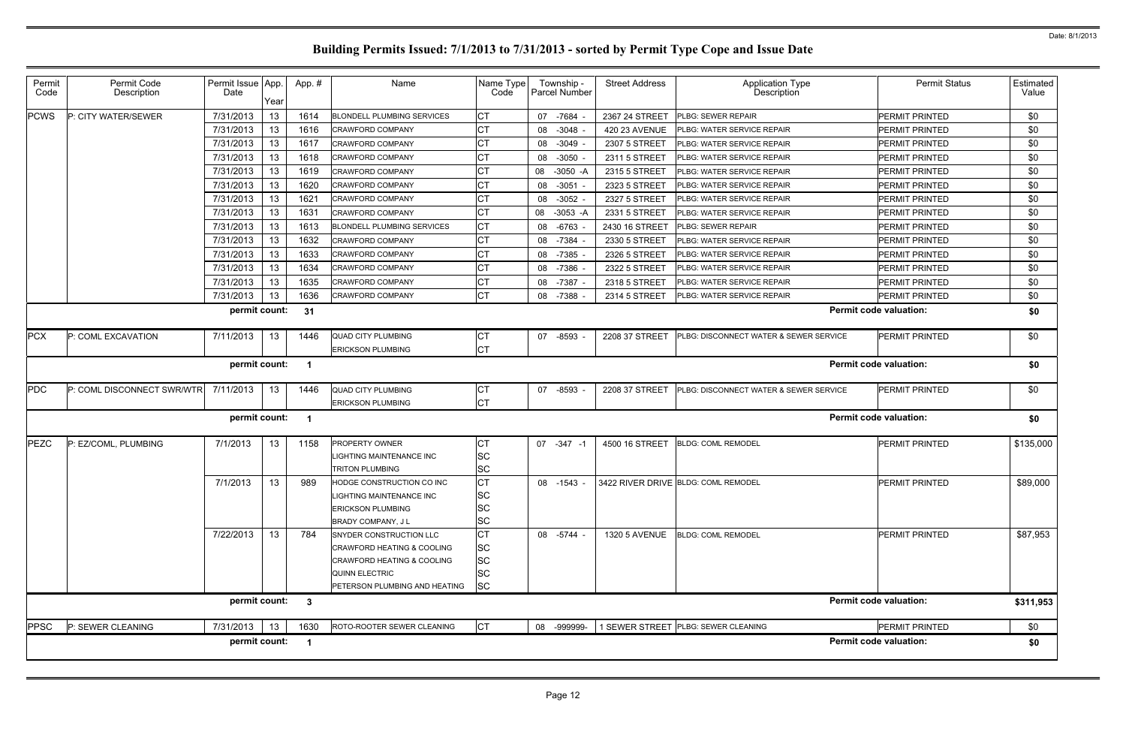| Permit<br>Code | Permit Code<br>Description | Permit Issue App.<br>Date | Year | App.# | Name                                                                                                                                                         | Name Type<br>Code                                             |    | Township -<br>Parcel Number | <b>Street Address</b> | Application Type<br>Description        | <b>Permit Status</b>          | Estimated<br>Value |
|----------------|----------------------------|---------------------------|------|-------|--------------------------------------------------------------------------------------------------------------------------------------------------------------|---------------------------------------------------------------|----|-----------------------------|-----------------------|----------------------------------------|-------------------------------|--------------------|
| <b>PCWS</b>    | P: CITY WATER/SEWER        | 7/31/2013                 | 13   | 1614  | <b>BLONDELL PLUMBING SERVICES</b>                                                                                                                            | СT                                                            | 07 | -7684                       | 2367 24 STREET        | <b>PLBG: SEWER REPAIR</b>              | PERMIT PRINTED                | \$0                |
|                |                            | 7/31/2013                 | 13   | 1616  | <b>CRAWFORD COMPANY</b>                                                                                                                                      | CT                                                            | 08 | $-3048$                     | 420 23 AVENUE         | <b>PLBG: WATER SERVICE REPAIR</b>      | PERMIT PRINTED                | \$0                |
|                |                            | 7/31/2013                 | 13   | 1617  | <b>CRAWFORD COMPANY</b>                                                                                                                                      | СT                                                            | 08 | -3049                       | 2307 5 STREET         | PLBG: WATER SERVICE REPAIR             | PERMIT PRINTED                | \$0                |
|                |                            | 7/31/2013                 | 13   | 1618  | CRAWFORD COMPANY                                                                                                                                             | СT                                                            | 08 | $-3050$                     | 2311 5 STREET         | <b>PLBG: WATER SERVICE REPAIR</b>      | PERMIT PRINTED                | \$0                |
|                |                            | 7/31/2013                 | 13   | 1619  | CRAWFORD COMPANY                                                                                                                                             | СT                                                            | 08 | -3050 -A                    | 2315 5 STREET         | <b>PLBG: WATER SERVICE REPAIR</b>      | PERMIT PRINTED                | \$0                |
|                |                            | 7/31/2013                 | 13   | 1620  | CRAWFORD COMPANY                                                                                                                                             | СT                                                            | 08 | $-3051$                     | 2323 5 STREET         | <b>PLBG: WATER SERVICE REPAIR</b>      | PERMIT PRINTED                | \$0                |
|                |                            | 7/31/2013                 | 13   | 1621  | <b>CRAWFORD COMPANY</b>                                                                                                                                      | СT                                                            | 08 | $-3052$                     | 2327 5 STREET         | <b>PLBG: WATER SERVICE REPAIR</b>      | PERMIT PRINTED                | \$0                |
|                |                            | 7/31/2013                 | 13   | 1631  | <b>CRAWFORD COMPANY</b>                                                                                                                                      | СT                                                            | 08 | -3053 -A                    | 2331 5 STREET         | <b>PLBG: WATER SERVICE REPAIR</b>      | PERMIT PRINTED                | \$0                |
|                |                            | 7/31/2013                 | 13   | 1613  | <b>BLONDELL PLUMBING SERVICES</b>                                                                                                                            | СT                                                            | 08 | $-6763$                     | 2430 16 STREET        | <b>PLBG: SEWER REPAIR</b>              | PERMIT PRINTED                | \$0                |
|                |                            | 7/31/2013                 | 13   | 1632  | <b>CRAWFORD COMPANY</b>                                                                                                                                      | <b>CT</b>                                                     | 08 | -7384                       | 2330 5 STREET         | <b>PLBG: WATER SERVICE REPAIR</b>      | PERMIT PRINTED                | \$0                |
|                |                            | 7/31/2013                 | 13   | 1633  | <b>CRAWFORD COMPANY</b>                                                                                                                                      | СT                                                            | 08 | -7385                       | 2326 5 STREET         | PLBG: WATER SERVICE REPAIR             | PERMIT PRINTED                | \$0                |
|                |                            | 7/31/2013                 | 13   | 1634  | <b>CRAWFORD COMPANY</b>                                                                                                                                      | СT                                                            | 08 | -7386                       | 2322 5 STREET         | <b>PLBG: WATER SERVICE REPAIR</b>      | PERMIT PRINTED                | \$0                |
|                |                            | 7/31/2013                 | 13   | 1635  | <b>CRAWFORD COMPANY</b>                                                                                                                                      | СT                                                            | 08 | $-7387$                     | 2318 5 STREET         | PLBG: WATER SERVICE REPAIR             | PERMIT PRINTED                | \$0                |
|                |                            | 7/31/2013                 | 13   | 1636  | <b>CRAWFORD COMPANY</b>                                                                                                                                      | <b>CT</b>                                                     |    | 08 -7388                    | 2314 5 STREET         | PLBG: WATER SERVICE REPAIR             | PERMIT PRINTED                | \$0                |
|                |                            | permit count:             |      | 31    |                                                                                                                                                              |                                                               |    |                             |                       |                                        | <b>Permit code valuation:</b> | \$0                |
| <b>PCX</b>     | P: COML EXCAVATION         | 7/11/2013                 | 13   | 1446  | <b>QUAD CITY PLUMBING</b>                                                                                                                                    | CТ                                                            | 07 | $-8593$                     | 2208 37 STREET        | PLBG: DISCONNECT WATER & SEWER SERVICE | <b>PERMIT PRINTED</b>         | \$0                |
|                |                            |                           |      |       | <b>ERICKSON PLUMBING</b>                                                                                                                                     | СT                                                            |    |                             |                       |                                        |                               |                    |
|                |                            | permit count:             |      | - 1   |                                                                                                                                                              |                                                               |    |                             |                       |                                        | <b>Permit code valuation:</b> | \$0                |
| <b>PDC</b>     | P: COML DISCONNECT SWR/WTR | 7/11/2013                 | 13   | 1446  | <b>QUAD CITY PLUMBING</b>                                                                                                                                    | CТ                                                            | 07 | $-8593$                     | 2208 37 STREET        | PLBG: DISCONNECT WATER & SEWER SERVICE | <b>PERMIT PRINTED</b>         | \$0                |
|                |                            |                           |      |       | <b>ERICKSON PLUMBING</b>                                                                                                                                     | <b>CT</b>                                                     |    |                             |                       |                                        |                               |                    |
|                |                            | permit count:             |      |       |                                                                                                                                                              |                                                               |    |                             |                       |                                        | <b>Permit code valuation:</b> | \$0                |
| PEZC           | P: EZ/COML, PLUMBING       | 7/1/2013                  | 13   | 1158  | PROPERTY OWNER<br>LIGHTING MAINTENANCE INC<br><b>TRITON PLUMBING</b>                                                                                         | СT<br>SC<br><b>SC</b>                                         |    | 07 -347 -1                  | 4500 16 STREET        | <b>BLDG: COML REMODEL</b>              | <b>PERMIT PRINTED</b>         | \$135,000          |
|                |                            | 7/1/2013                  | 13   | 989   | HODGE CONSTRUCTION CO INC<br>LIGHTING MAINTENANCE INC<br><b>ERICKSON PLUMBING</b><br><b>BRADY COMPANY, JL</b>                                                | <b>CT</b><br><b>SC</b><br><b>SC</b><br><b>SC</b>              |    | 08 -1543 -                  |                       | 3422 RIVER DRIVE BLDG: COML REMODEL    | <b>PERMIT PRINTED</b>         | \$89,000           |
|                |                            | 7/22/2013                 | 13   | 784   | SNYDER CONSTRUCTION LLC<br><b>CRAWFORD HEATING &amp; COOLING</b><br><b>CRAWFORD HEATING &amp; COOLING</b><br>QUINN ELECTRIC<br>PETERSON PLUMBING AND HEATING | <b>CT</b><br><b>SC</b><br><b>SC</b><br><b>SC</b><br><b>SC</b> |    | 08 -5744 -                  | <b>1320 5 AVENUE</b>  | <b>BLDG: COML REMODEL</b>              | PERMIT PRINTED                | \$87,953           |
|                |                            | permit count: 3           |      |       |                                                                                                                                                              |                                                               |    |                             |                       |                                        | <b>Permit code valuation:</b> | \$311,953          |
| <b>PPSC</b>    | P: SEWER CLEANING          | 7/31/2013                 | 13   | 1630  | ROTO-ROOTER SEWER CLEANING                                                                                                                                   | <b>CT</b>                                                     |    | 08 -999999-                 |                       | 1 SEWER STREET PLBG: SEWER CLEANING    | PERMIT PRINTED                | \$0                |
|                |                            | permit count:             |      | - 1   |                                                                                                                                                              |                                                               |    |                             |                       |                                        | <b>Permit code valuation:</b> | \$0                |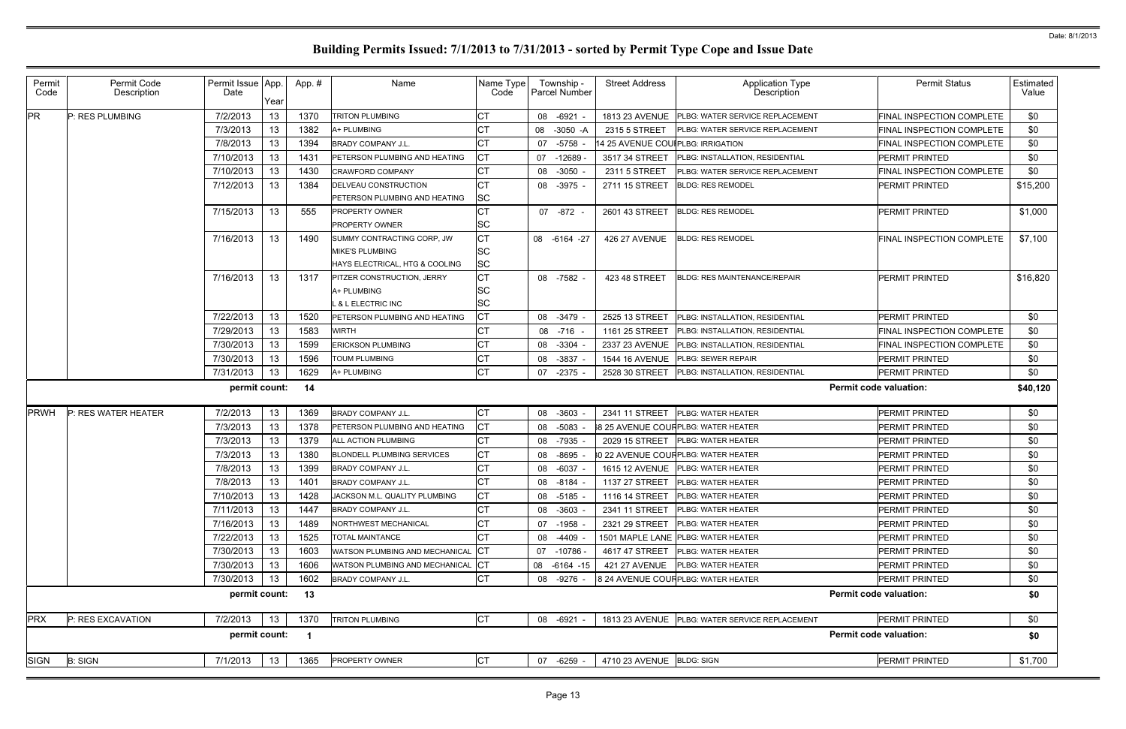| Permit<br>Code        | Permit Code<br>Description | Permit Issue App.<br>Date | Year            | App.# | Name                              | Name Type<br>Code |    | Township -<br>Parcel Number | <b>Street Address</b>             | <b>Application Type</b><br>Description         |                               | <b>Permit Status</b>             | Estimated<br>Value |
|-----------------------|----------------------------|---------------------------|-----------------|-------|-----------------------------------|-------------------|----|-----------------------------|-----------------------------------|------------------------------------------------|-------------------------------|----------------------------------|--------------------|
| <b>PR</b>             | P: RES PLUMBING            | 7/2/2013                  | 13              | 1370  | <b>TRITON PLUMBING</b>            | CТ                | 08 | -6921                       |                                   | 1813 23 AVENUE PLBG: WATER SERVICE REPLACEMENT |                               | FINAL INSPECTION COMPLETE        | \$0                |
|                       |                            | 7/3/2013                  | 13              | 1382  | A+ PLUMBING                       |                   | 08 | $-3050 - A$                 | 2315 5 STREET                     | PLBG: WATER SERVICE REPLACEMENT                |                               | <b>FINAL INSPECTION COMPLETE</b> | \$0                |
|                       |                            | 7/8/2013                  | 13              | 1394  | <b>BRADY COMPANY J.L.</b>         |                   | 07 | $-5758$                     | 14 25 AVENUE COUIPLBG: IRRIGATION |                                                |                               | FINAL INSPECTION COMPLETE        | \$0                |
|                       |                            | 7/10/2013                 | 13              | 1431  | PETERSON PLUMBING AND HEATING     | CТ                | 07 | $-12689$                    | 3517 34 STREET                    | PLBG: INSTALLATION, RESIDENTIAL                | PERMIT PRINTED                |                                  | \$0                |
|                       |                            | 7/10/2013                 | 13              | 1430  | <b>CRAWFORD COMPANY</b>           |                   | 08 | $-3050$                     | 2311 5 STREET                     | PLBG: WATER SERVICE REPLACEMENT                |                               | FINAL INSPECTION COMPLETE        | \$0                |
|                       |                            | 7/12/2013                 | 13              | 1384  | DELVEAU CONSTRUCTION              |                   | 08 | $-3975$                     | 2711 15 STREET                    | <b>BLDG: RES REMODEL</b>                       | PERMIT PRINTED                |                                  | \$15,200           |
|                       |                            |                           |                 |       | PETERSON PLUMBING AND HEATING     | SC                |    |                             |                                   |                                                |                               |                                  |                    |
|                       |                            | 7/15/2013                 | 13 <sup>2</sup> | 555   | PROPERTY OWNER                    |                   |    | 07 -872 -                   | 2601 43 STREET                    | <b>BLDG: RES REMODEL</b>                       | PERMIT PRINTED                |                                  | \$1,000            |
|                       |                            |                           |                 |       | <b>PROPERTY OWNER</b>             | SC                |    |                             |                                   |                                                |                               |                                  |                    |
|                       |                            | 7/16/2013                 | 13 <sup>°</sup> | 1490  | SUMMY CONTRACTING CORP, JW        | CТ                |    | 08 -6164 -27                | <b>426 27 AVENUE</b>              | <b>BLDG: RES REMODEL</b>                       |                               | FINAL INSPECTION COMPLETE        | \$7,100            |
|                       |                            |                           |                 |       | MIKE'S PLUMBING                   | SC                |    |                             |                                   |                                                |                               |                                  |                    |
|                       |                            |                           |                 |       | HAYS ELECTRICAL, HTG & COOLING    | <b>SC</b>         |    |                             |                                   |                                                |                               |                                  |                    |
|                       |                            | 7/16/2013                 | 13 <sup>7</sup> | 1317  | <b>PITZER CONSTRUCTION, JERRY</b> | СT                |    | 08 -7582 -                  | 423 48 STREET                     | <b>BLDG: RES MAINTENANCE/REPAIR</b>            | PERMIT PRINTED                |                                  | \$16,820           |
|                       |                            |                           |                 |       | A+ PLUMBING                       | SC                |    |                             |                                   |                                                |                               |                                  |                    |
|                       |                            |                           |                 |       | <b>&amp; L ELECTRIC INC</b>       | SC                |    |                             |                                   |                                                |                               |                                  |                    |
|                       |                            | 7/22/2013                 | 13              | 1520  | PETERSON PLUMBING AND HEATING     | СT                | 08 | -3479                       | 2525 13 STREET                    | <b>PLBG: INSTALLATION, RESIDENTIAL</b>         | PERMIT PRINTED                |                                  | \$0                |
|                       |                            | 7/29/2013                 | 13              | 1583  | <b>WIRTH</b>                      |                   | 08 | -716                        | 1161 25 STREET                    | <b>PLBG: INSTALLATION, RESIDENTIAL</b>         |                               | FINAL INSPECTION COMPLETE        | \$0                |
|                       |                            | 7/30/2013                 | 13              | 1599  | <b>ERICKSON PLUMBING</b>          |                   | 08 | $-3304$                     | 2337 23 AVENUE                    | PLBG: INSTALLATION, RESIDENTIAL                |                               | <b>FINAL INSPECTION COMPLETE</b> | \$0                |
|                       |                            | 7/30/2013                 | 13              | 1596  | TOUM PLUMBING                     |                   | 08 | $-3837$                     | <b>1544 16 AVENUE</b>             | PLBG: SEWER REPAIR                             | PERMIT PRINTED                |                                  | \$0                |
|                       |                            | 7/31/2013                 | 13              | 1629  | A+ PLUMBING                       | СT                | 07 | -2375                       | 2528 30 STREET                    | <b>PLBG: INSTALLATION, RESIDENTIAL</b>         | PERMIT PRINTED                |                                  | \$0                |
| permit count:<br>- 14 |                            |                           |                 |       |                                   |                   |    |                             |                                   |                                                | <b>Permit code valuation:</b> |                                  | \$40,120           |
| PRWH                  | P: RES WATER HEATER        | 7/2/2013                  | 13              | 1369  | <b>BRADY COMPANY J.L.</b>         | СT                | 08 | $-3603$                     | 2341 11 STREET                    | <b>PLBG: WATER HEATER</b>                      | PERMIT PRINTED                |                                  | \$0                |
|                       |                            | 7/3/2013                  | 13              | 1378  | PETERSON PLUMBING AND HEATING     | СT                | 08 | $-5083$                     |                                   | 8 25 AVENUE COUFPLBG: WATER HEATER             | PERMIT PRINTED                |                                  | \$0                |
|                       |                            | 7/3/2013                  | 13              | 1379  | <b>ALL ACTION PLUMBING</b>        |                   | 08 | $-7935$                     | 2029 15 STREET                    | <b>PLBG: WATER HEATER</b>                      | PERMIT PRINTED                |                                  | \$0                |
|                       |                            | 7/3/2013                  | 13              | 1380  | <b>BLONDELL PLUMBING SERVICES</b> |                   | 08 | $-8695$                     |                                   | 0 22 AVENUE COUFPLBG: WATER HEATER             | PERMIT PRINTED                |                                  | \$0                |
|                       |                            | 7/8/2013                  | 13              | 1399  | <b>BRADY COMPANY J.L.</b>         |                   | 08 | $-6037$                     |                                   | 1615 12 AVENUE PLBG: WATER HEATER              | PERMIT PRINTED                |                                  | \$0                |
|                       |                            | 7/8/2013                  | 13              | 1401  | <b>BRADY COMPANY J.L.</b>         |                   | 08 | -8184                       |                                   | 1137 27 STREET PLBG: WATER HEATER              | <b>PERMIT PRINTED</b>         |                                  | \$0                |
|                       |                            | 7/10/2013                 | 13              | 1428  | JACKSON M.L. QUALITY PLUMBING     | СT                |    | 08 -5185                    | 1116 14 STREET                    | PLBG: WATER HEATER                             | PERMIT PRINTED                |                                  | \$0                |
|                       |                            | 7/11/2013                 | 13              | 1447  | BRADY COMPANY J.L.                | 31                | 08 | $-3603$                     | 2341 11 STREET                    | PLBG: WATER HEATER                             | PERMIT PRINTED                |                                  | \$0                |
|                       |                            | 7/16/2013                 | 13              | 1489  | <b>NORTHWEST MECHANICAL</b>       | CТ                | 07 | $-1958$                     | 2321 29 STREET                    | <b>PLBG: WATER HEATER</b>                      | PERMIT PRINTED                |                                  | \$0                |
|                       |                            | 7/22/2013                 | 13              | 1525  | TOTAL MAINTANCE                   |                   | 08 | -4409                       |                                   | 1501 MAPLE LANE PLBG: WATER HEATER             | PERMIT PRINTED                |                                  | \$0                |
|                       |                            | 7/30/2013                 | 13              | 1603  | WATSON PLUMBING AND MECHANICAL    | СT                |    | 07 -10786 -                 | 4617 47 STREET                    | <b>PLBG: WATER HEATER</b>                      | PERMIT PRINTED                |                                  | \$0                |
|                       |                            | 7/30/2013                 | 13              | 1606  | WATSON PLUMBING AND MECHANICAL    | CТ                |    | 08 -6164 -15                | <b>421 27 AVENUE</b>              | <b>PLBG: WATER HEATER</b>                      | PERMIT PRINTED                |                                  | \$0                |
|                       |                            | 7/30/2013                 | 13              | 1602  | <b>BRADY COMPANY J.L.</b>         | <b>CT</b>         |    | 08 -9276 -                  |                                   | 8 24 AVENUE COUF PLBG: WATER HEATER            | PERMIT PRINTED                |                                  | \$0                |
|                       |                            | permit count:             |                 | 13    |                                   |                   |    |                             |                                   |                                                | <b>Permit code valuation:</b> |                                  | \$0                |
| <b>PRX</b>            | P: RES EXCAVATION          | 7/2/2013                  | 13              | 1370  | <b>TRITON PLUMBING</b>            | <b>CT</b>         |    | 08 -6921 -                  |                                   | 1813 23 AVENUE PLBG: WATER SERVICE REPLACEMENT | PERMIT PRINTED                |                                  | \$0                |
|                       |                            | permit count:             |                 | - 1   |                                   |                   |    |                             |                                   |                                                | <b>Permit code valuation:</b> |                                  | \$0                |
| <b>SIGN</b>           | <b>B: SIGN</b>             | 7/1/2013                  | 13              | 1365  | PROPERTY OWNER                    | СT                |    | 07 -6259                    | 4710 23 AVENUE BLDG: SIGN         |                                                | PERMIT PRINTED                |                                  | \$1,700            |